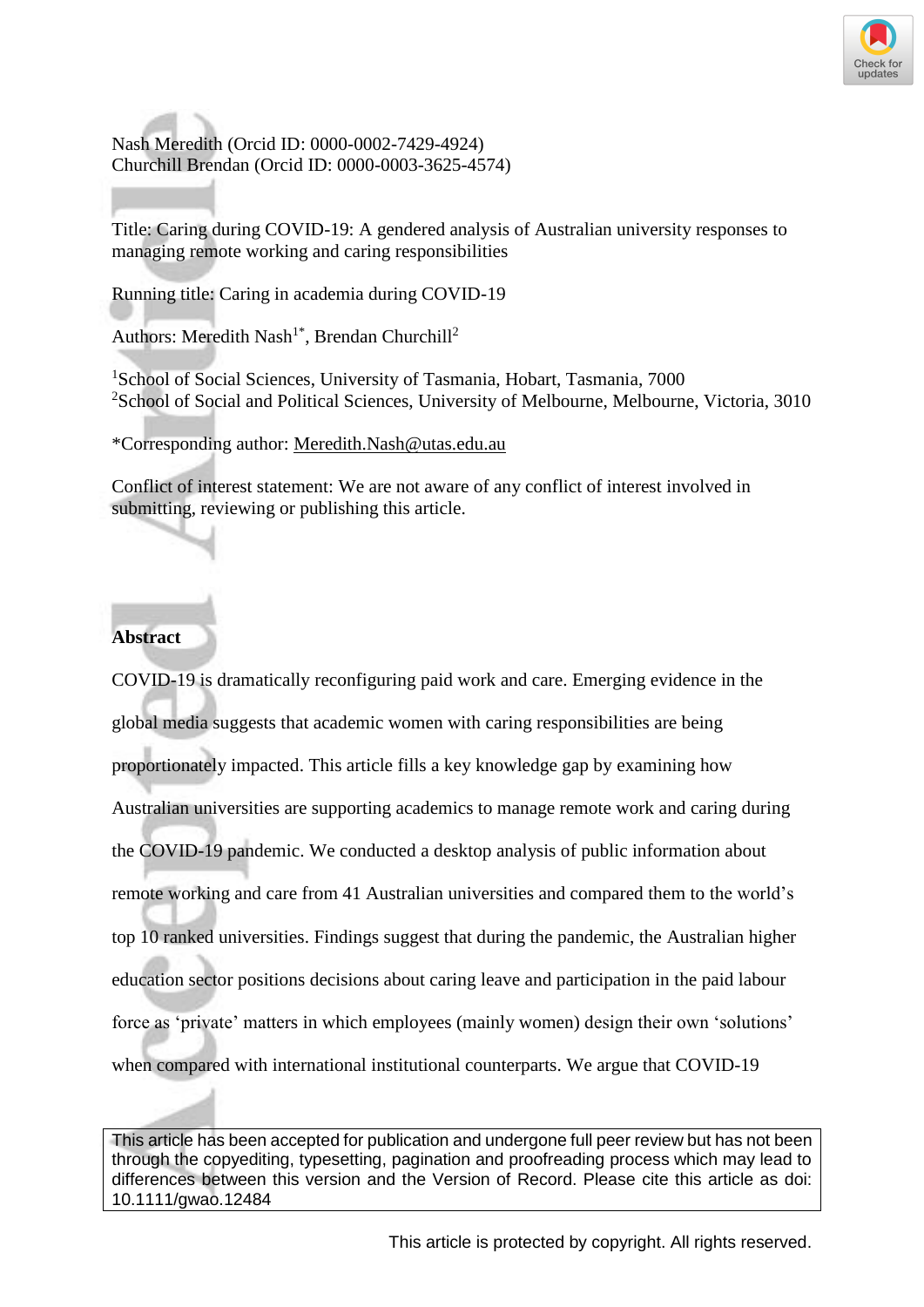

Nash Meredith (Orcid ID: 0000-0002-7429-4924) Churchill Brendan (Orcid ID: 0000-0003-3625-4574)

Title: Caring during COVID-19: A gendered analysis of Australian university responses to managing remote working and caring responsibilities

Running title: Caring in academia during COVID-19

Authors: Meredith Nash<sup>1\*</sup>, Brendan Churchill<sup>2</sup>

<sup>1</sup>School of Social Sciences, University of Tasmania, Hobart, Tasmania, 7000 <sup>2</sup>School of Social and Political Sciences, University of Melbourne, Melbourne, Victoria, 3010

\*Corresponding author: [Meredith.Nash@utas.edu.au](mailto:Meredith.Nash@utas.edu.au)

Conflict of interest statement: We are not aware of any conflict of interest involved in submitting, reviewing or publishing this article.

## **Abstract**

COVID-19 is dramatically reconfiguring paid work and care. Emerging evidence in the global media suggests that academic women with caring responsibilities are being proportionately impacted. This article fills a key knowledge gap by examining how Australian universities are supporting academics to manage remote work and caring during the COVID-19 pandemic. We conducted a desktop analysis of public information about remote working and care from 41 Australian universities and compared them to the world's top 10 ranked universities. Findings suggest that during the pandemic, the Australian higher education sector positions decisions about caring leave and participation in the paid labour force as 'private' matters in which employees (mainly women) design their own 'solutions' when compared with international institutional counterparts. We argue that COVID-19

This article has been accepted for publication and undergone full peer review but has not been through the copyediting, typesetting, pagination and proofreading process which may lead to differences between this version and the Version of Record. Please cite this article as doi: 10.1111/gwao.12484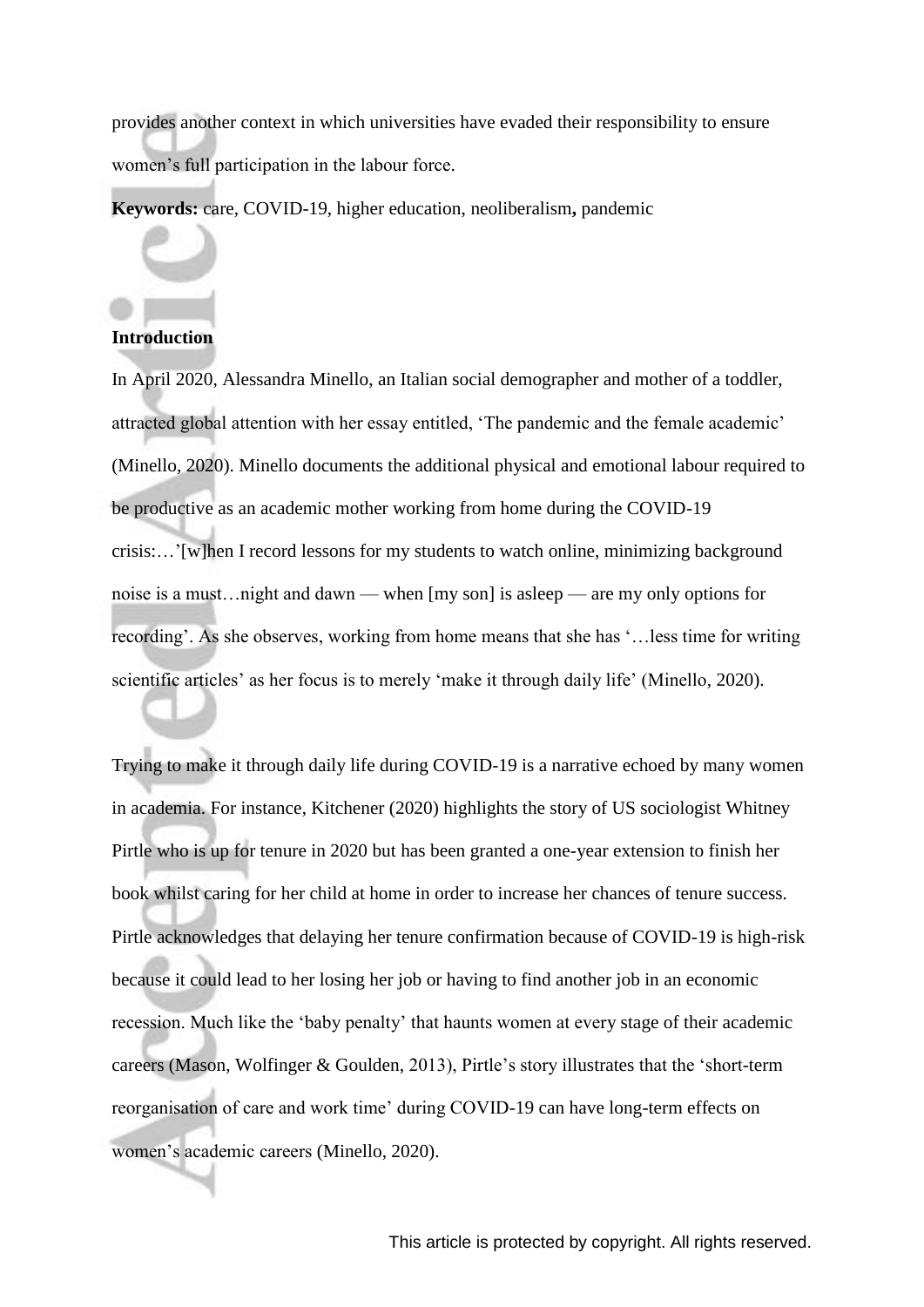provides another context in which universities have evaded their responsibility to ensure women's full participation in the labour force.

**Keywords:** care, COVID-19, higher education, neoliberalism**,** pandemic

### **Introduction**

In April 2020, Alessandra Minello, an Italian social demographer and mother of a toddler, attracted global attention with her essay entitled, 'The pandemic and the female academic' (Minello, 2020). Minello documents the additional physical and emotional labour required to be productive as an academic mother working from home during the COVID-19 crisis:…'[w]hen I record lessons for my students to watch online, minimizing background noise is a must…night and dawn — when [my son] is asleep — are my only options for recording'. As she observes, working from home means that she has '…less time for writing scientific articles' as her focus is to merely 'make it through daily life' (Minello, 2020).

Trying to make it through daily life during COVID-19 is a narrative echoed by many women in academia. For instance, Kitchener (2020) highlights the story of US sociologist Whitney Pirtle who is up for tenure in 2020 but has been granted a one-year extension to finish her book whilst caring for her child at home in order to increase her chances of tenure success. Pirtle acknowledges that delaying her tenure confirmation because of COVID-19 is high-risk because it could lead to her losing her job or having to find another job in an economic recession. Much like the 'baby penalty' that haunts women at every stage of their academic careers (Mason, Wolfinger & Goulden, 2013), Pirtle's story illustrates that the 'short-term reorganisation of care and work time' during COVID-19 can have long-term effects on women's academic careers (Minello, 2020).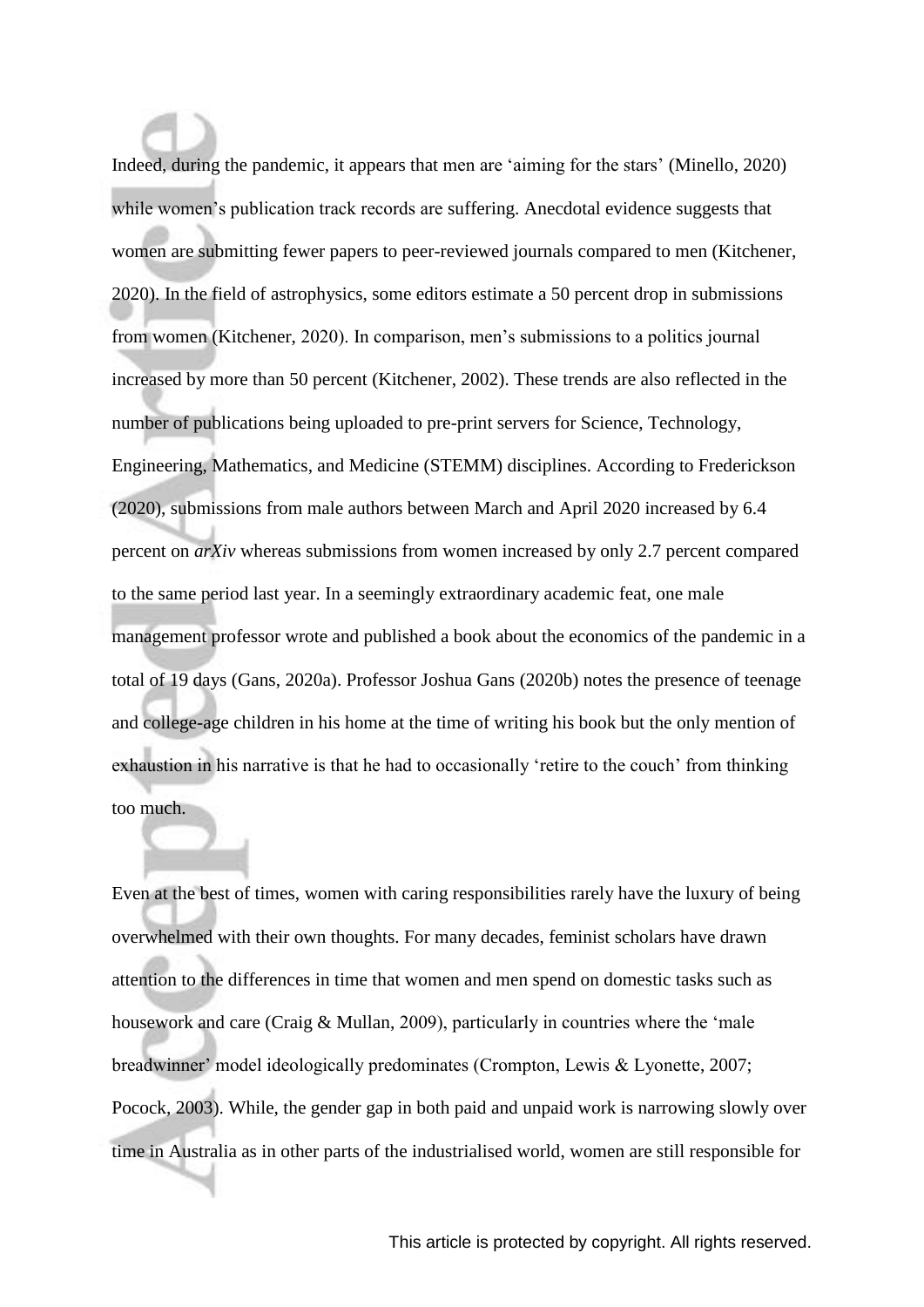Indeed, during the pandemic, it appears that men are 'aiming for the stars' (Minello, 2020) while women's publication track records are suffering. Anecdotal evidence suggests that women are submitting fewer papers to peer-reviewed journals compared to men (Kitchener, 2020). In the field of astrophysics, some editors estimate a 50 percent drop in submissions from women (Kitchener, 2020). In comparison, men's submissions to a politics journal increased by more than 50 percent (Kitchener, 2002). These trends are also reflected in the number of publications being uploaded to pre-print servers for Science, Technology, Engineering, Mathematics, and Medicine (STEMM) disciplines. According to Frederickson (2020), submissions from male authors between March and April 2020 increased by 6.4 percent on *arXiv* whereas submissions from women increased by only 2.7 percent compared to the same period last year. In a seemingly extraordinary academic feat, one male management professor wrote and published a book about the economics of the pandemic in a total of 19 days (Gans, 2020a). Professor Joshua Gans (2020b) notes the presence of teenage and college-age children in his home at the time of writing his book but the only mention of exhaustion in his narrative is that he had to occasionally 'retire to the couch' from thinking too much.

Even at the best of times, women with caring responsibilities rarely have the luxury of being overwhelmed with their own thoughts. For many decades, feminist scholars have drawn attention to the differences in time that women and men spend on domestic tasks such as housework and care (Craig & Mullan, 2009), particularly in countries where the 'male breadwinner' model ideologically predominates (Crompton, Lewis & Lyonette, 2007; Pocock, 2003). While, the gender gap in both paid and unpaid work is narrowing slowly over time in Australia as in other parts of the industrialised world, women are still responsible for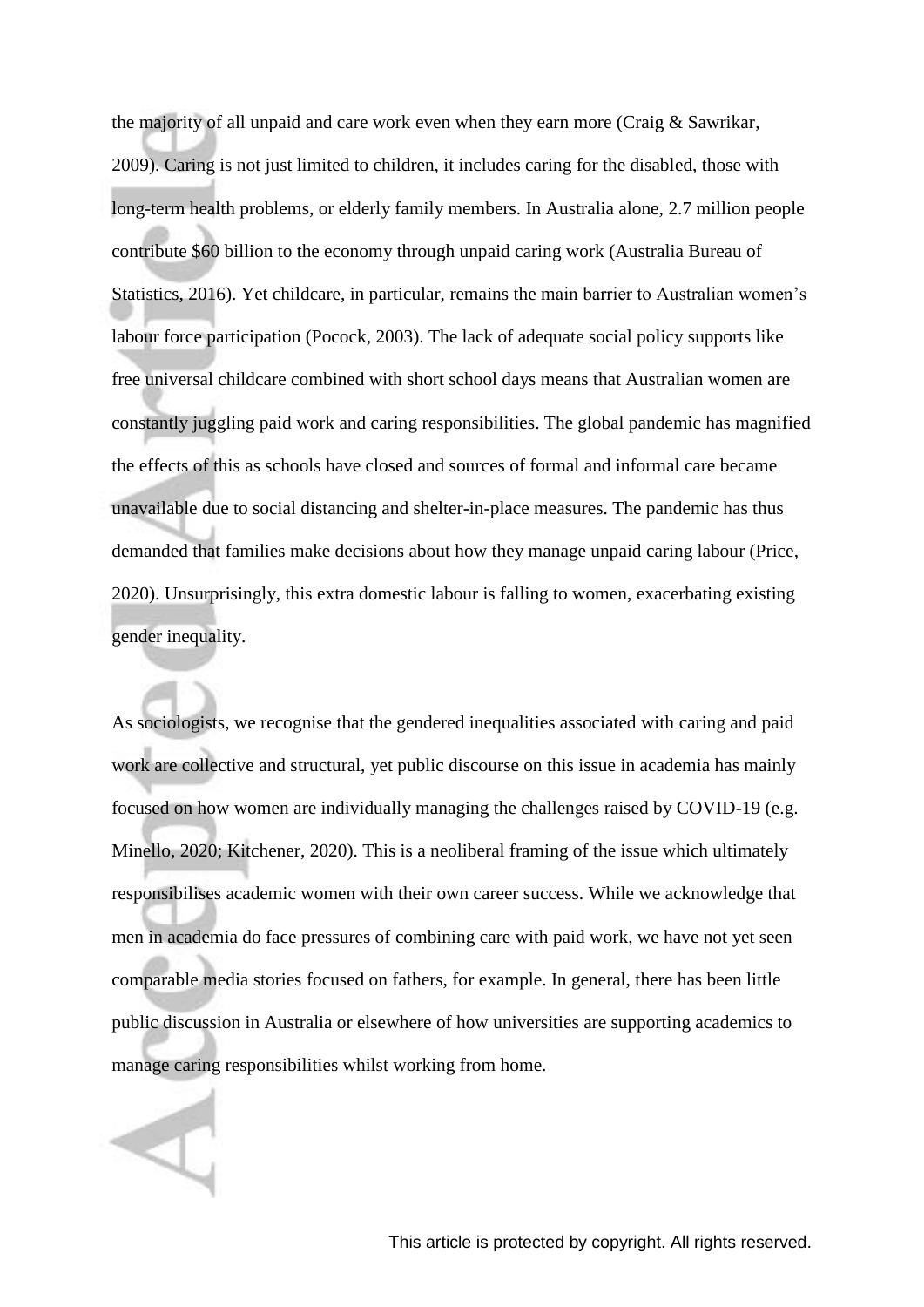the majority of all unpaid and care work even when they earn more (Craig & Sawrikar, 2009). Caring is not just limited to children, it includes caring for the disabled, those with long-term health problems, or elderly family members. In Australia alone, 2.7 million people contribute \$60 billion to the economy through unpaid caring work (Australia Bureau of Statistics, 2016). Yet childcare, in particular, remains the main barrier to Australian women's labour force participation (Pocock, 2003). The lack of adequate social policy supports like free universal childcare combined with short school days means that Australian women are constantly juggling paid work and caring responsibilities. The global pandemic has magnified the effects of this as schools have closed and sources of formal and informal care became unavailable due to social distancing and shelter-in-place measures. The pandemic has thus demanded that families make decisions about how they manage unpaid caring labour (Price, 2020). Unsurprisingly, this extra domestic labour is falling to women, exacerbating existing gender inequality.

As sociologists, we recognise that the gendered inequalities associated with caring and paid work are collective and structural, yet public discourse on this issue in academia has mainly focused on how women are individually managing the challenges raised by COVID-19 (e.g. Minello, 2020; Kitchener, 2020). This is a neoliberal framing of the issue which ultimately responsibilises academic women with their own career success. While we acknowledge that men in academia do face pressures of combining care with paid work, we have not yet seen comparable media stories focused on fathers, for example. In general, there has been little public discussion in Australia or elsewhere of how universities are supporting academics to manage caring responsibilities whilst working from home.

 $\blacktriangleleft$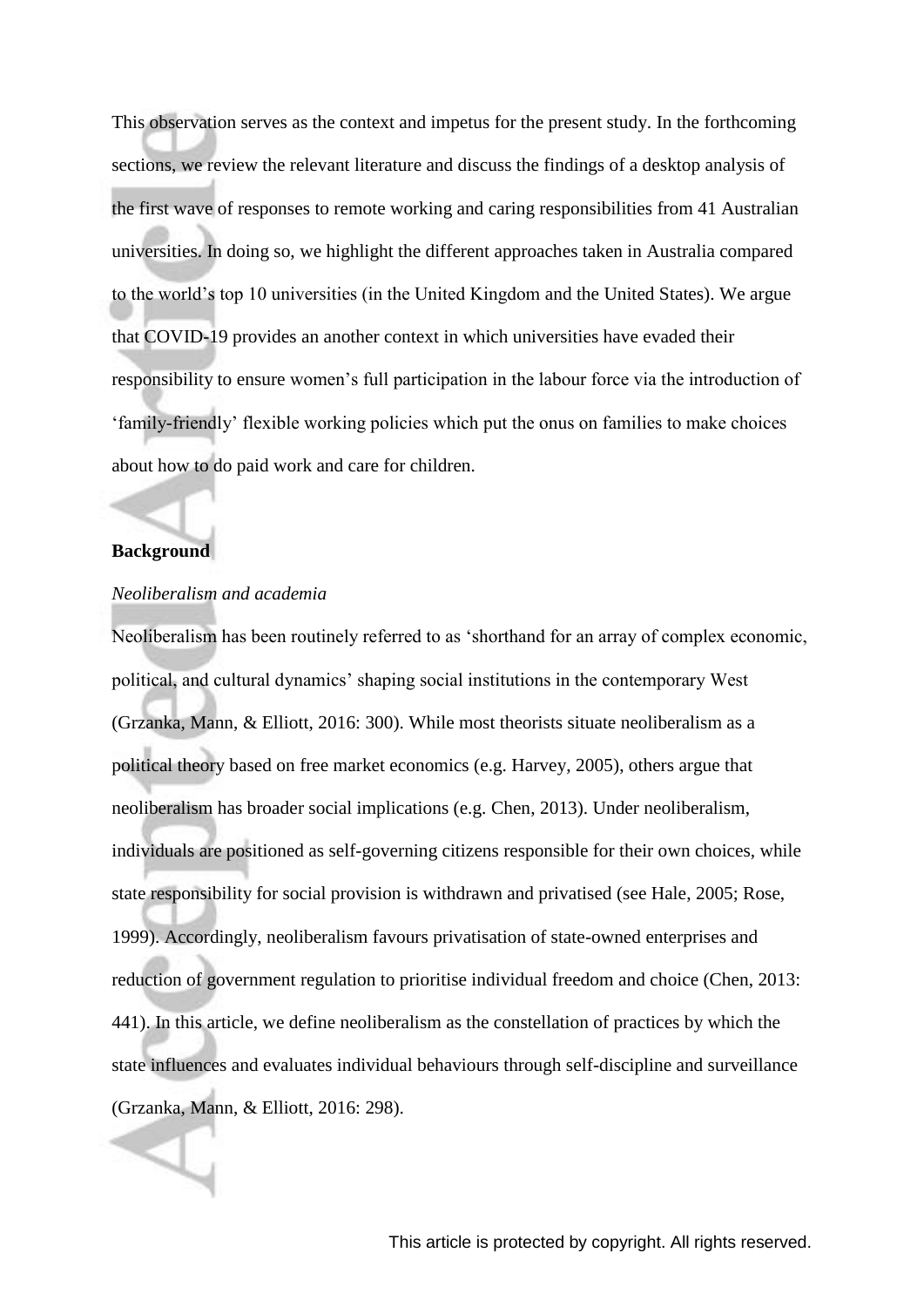This observation serves as the context and impetus for the present study. In the forthcoming sections, we review the relevant literature and discuss the findings of a desktop analysis of the first wave of responses to remote working and caring responsibilities from 41 Australian universities. In doing so, we highlight the different approaches taken in Australia compared to the world's top 10 universities (in the United Kingdom and the United States). We argue that COVID-19 provides an another context in which universities have evaded their responsibility to ensure women's full participation in the labour force via the introduction of 'family-friendly' flexible working policies which put the onus on families to make choices about how to do paid work and care for children.

#### **Background**

#### *Neoliberalism and academia*

Neoliberalism has been routinely referred to as 'shorthand for an array of complex economic, political, and cultural dynamics' shaping social institutions in the contemporary West (Grzanka, Mann, & Elliott, 2016: 300). While most theorists situate neoliberalism as a political theory based on free market economics (e.g. Harvey, 2005), others argue that neoliberalism has broader social implications (e.g. Chen, 2013). Under neoliberalism, individuals are positioned as self-governing citizens responsible for their own choices, while state responsibility for social provision is withdrawn and privatised (see Hale, 2005; Rose, 1999). Accordingly, neoliberalism favours privatisation of state-owned enterprises and reduction of government regulation to prioritise individual freedom and choice (Chen, 2013: 441). In this article, we define neoliberalism as the constellation of practices by which the state influences and evaluates individual behaviours through self-discipline and surveillance (Grzanka, Mann, & Elliott, 2016: 298).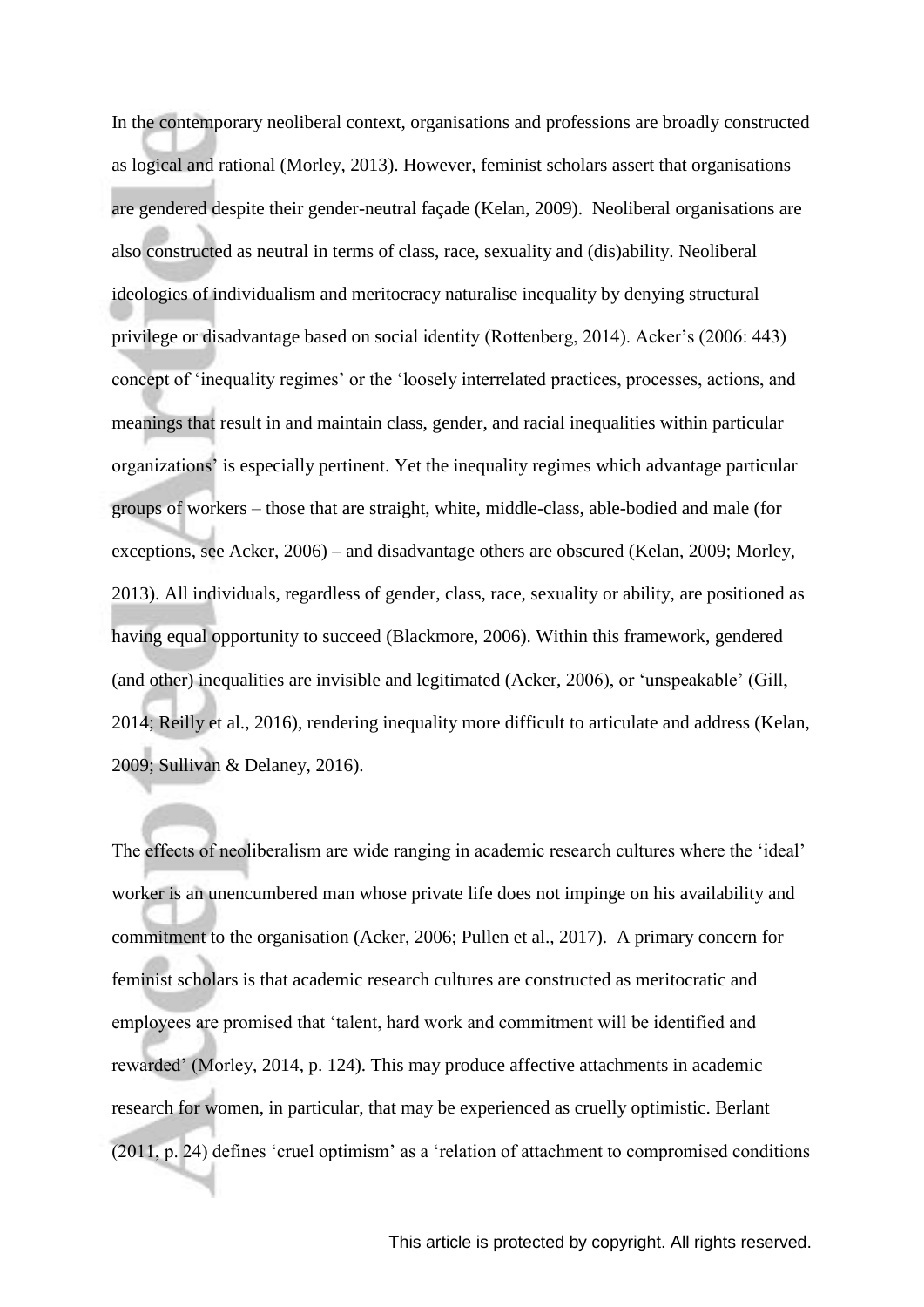In the contemporary neoliberal context, organisations and professions are broadly constructed as logical and rational (Morley, 2013). However, feminist scholars assert that organisations are gendered despite their gender-neutral façade (Kelan, 2009). Neoliberal organisations are also constructed as neutral in terms of class, race, sexuality and (dis)ability. Neoliberal ideologies of individualism and meritocracy naturalise inequality by denying structural privilege or disadvantage based on social identity (Rottenberg, 2014). Acker's (2006: 443) concept of 'inequality regimes' or the 'loosely interrelated practices, processes, actions, and meanings that result in and maintain class, gender, and racial inequalities within particular organizations' is especially pertinent. Yet the inequality regimes which advantage particular groups of workers – those that are straight, white, middle-class, able-bodied and male (for exceptions, see Acker, 2006) – and disadvantage others are obscured (Kelan, 2009; Morley, 2013). All individuals, regardless of gender, class, race, sexuality or ability, are positioned as having equal opportunity to succeed (Blackmore, 2006). Within this framework, gendered (and other) inequalities are invisible and legitimated (Acker, 2006), or 'unspeakable' (Gill, 2014; Reilly et al., 2016), rendering inequality more difficult to articulate and address (Kelan, 2009; Sullivan & Delaney, 2016).

The effects of neoliberalism are wide ranging in academic research cultures where the 'ideal' worker is an unencumbered man whose private life does not impinge on his availability and commitment to the organisation (Acker, 2006; Pullen et al., 2017). A primary concern for feminist scholars is that academic research cultures are constructed as meritocratic and employees are promised that 'talent, hard work and commitment will be identified and rewarded' (Morley, 2014, p. 124). This may produce affective attachments in academic research for women, in particular, that may be experienced as cruelly optimistic. Berlant (2011, p. 24) defines 'cruel optimism' as a 'relation of attachment to compromised conditions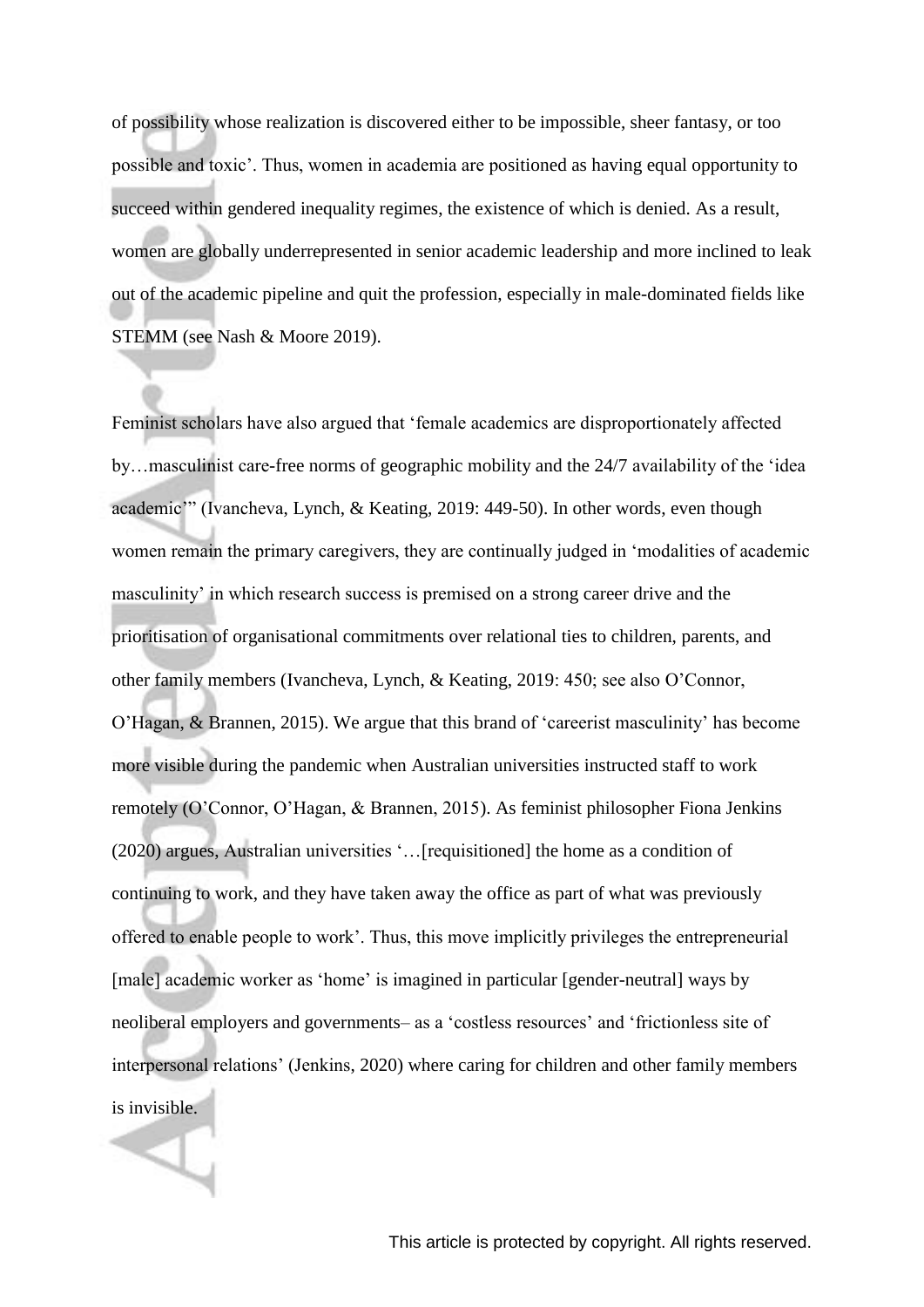of possibility whose realization is discovered either to be impossible, sheer fantasy, or too possible and toxic'. Thus, women in academia are positioned as having equal opportunity to succeed within gendered inequality regimes, the existence of which is denied. As a result, women are globally underrepresented in senior academic leadership and more inclined to leak out of the academic pipeline and quit the profession, especially in male-dominated fields like STEMM (see Nash & Moore 2019).

Feminist scholars have also argued that 'female academics are disproportionately affected by…masculinist care-free norms of geographic mobility and the 24/7 availability of the 'idea academic'" (Ivancheva, Lynch, & Keating, 2019: 449-50). In other words, even though women remain the primary caregivers, they are continually judged in 'modalities of academic masculinity' in which research success is premised on a strong career drive and the prioritisation of organisational commitments over relational ties to children, parents, and other family members (Ivancheva, Lynch, & Keating, 2019: 450; see also O'Connor, O'Hagan, & Brannen, 2015). We argue that this brand of 'careerist masculinity' has become more visible during the pandemic when Australian universities instructed staff to work remotely (O'Connor, O'Hagan, & Brannen, 2015). As feminist philosopher Fiona Jenkins (2020) argues, Australian universities '…[requisitioned] the home as a condition of continuing to work, and they have taken away the office as part of what was previously offered to enable people to work'. Thus, this move implicitly privileges the entrepreneurial [male] academic worker as 'home' is imagined in particular [gender-neutral] ways by neoliberal employers and governments– as a 'costless resources' and 'frictionless site of interpersonal relations' (Jenkins, 2020) where caring for children and other family members is invisible.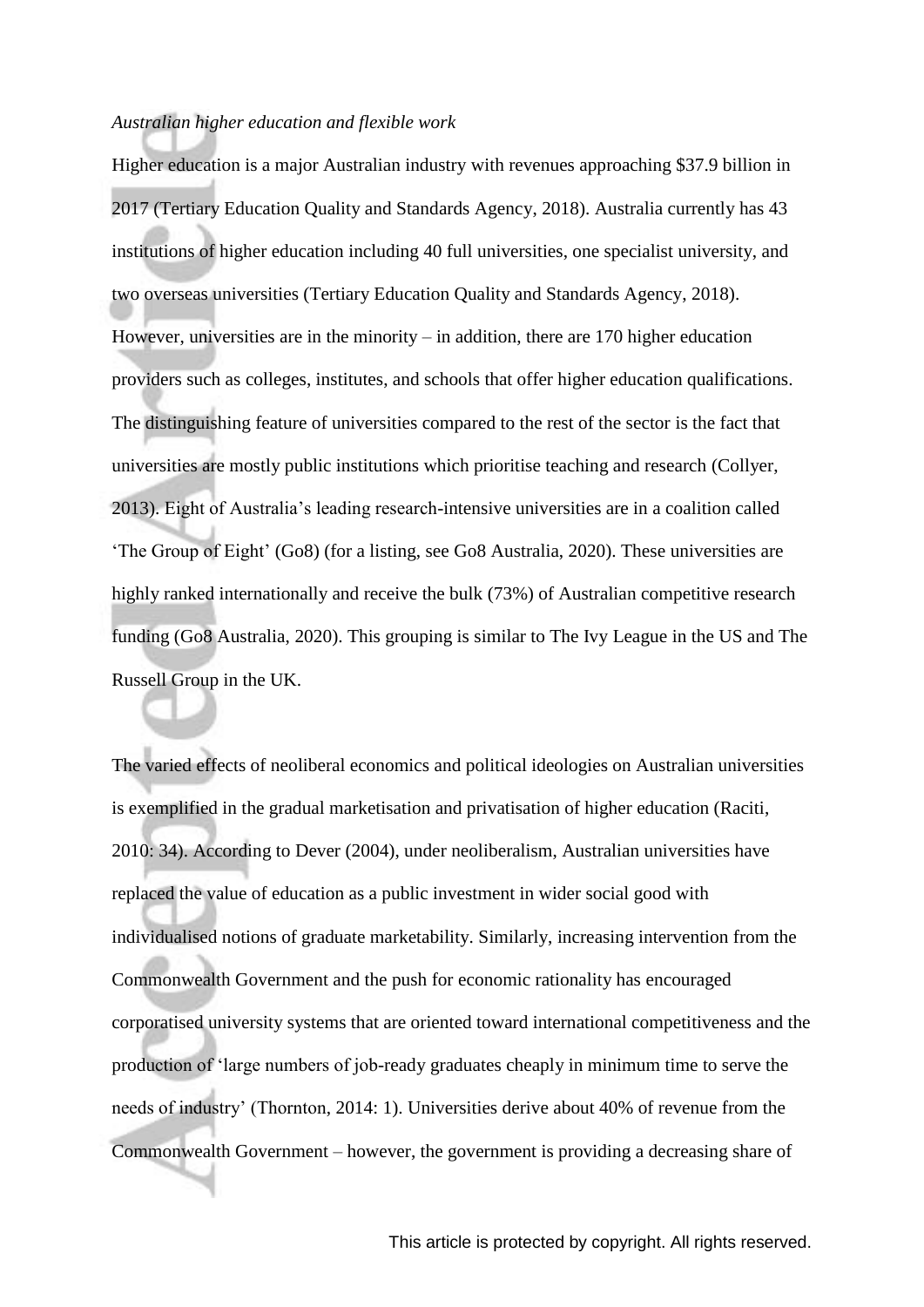#### *Australian higher education and flexible work*

Higher education is a major Australian industry with revenues approaching \$37.9 billion in 2017 (Tertiary Education Quality and Standards Agency, 2018). Australia currently has 43 institutions of higher education including 40 full universities, one specialist university, and two overseas universities (Tertiary Education Quality and Standards Agency, 2018). However, universities are in the minority – in addition, there are 170 higher education providers such as colleges, institutes, and schools that offer higher education qualifications. The distinguishing feature of universities compared to the rest of the sector is the fact that universities are mostly public institutions which prioritise teaching and research (Collyer, 2013). Eight of Australia's leading research-intensive universities are in a coalition called 'The Group of Eight' (Go8) (for a listing, see Go8 Australia, 2020). These universities are highly ranked internationally and receive the bulk (73%) of Australian competitive research funding (Go8 Australia, 2020). This grouping is similar to The Ivy League in the US and The Russell Group in the UK.

The varied effects of neoliberal economics and political ideologies on Australian universities is exemplified in the gradual marketisation and privatisation of higher education (Raciti, 2010: 34). According to Dever (2004), under neoliberalism, Australian universities have replaced the value of education as a public investment in wider social good with individualised notions of graduate marketability. Similarly, increasing intervention from the Commonwealth Government and the push for economic rationality has encouraged corporatised university systems that are oriented toward international competitiveness and the production of 'large numbers of job-ready graduates cheaply in minimum time to serve the needs of industry' (Thornton, 2014: 1). Universities derive about 40% of revenue from the Commonwealth Government – however, the government is providing a decreasing share of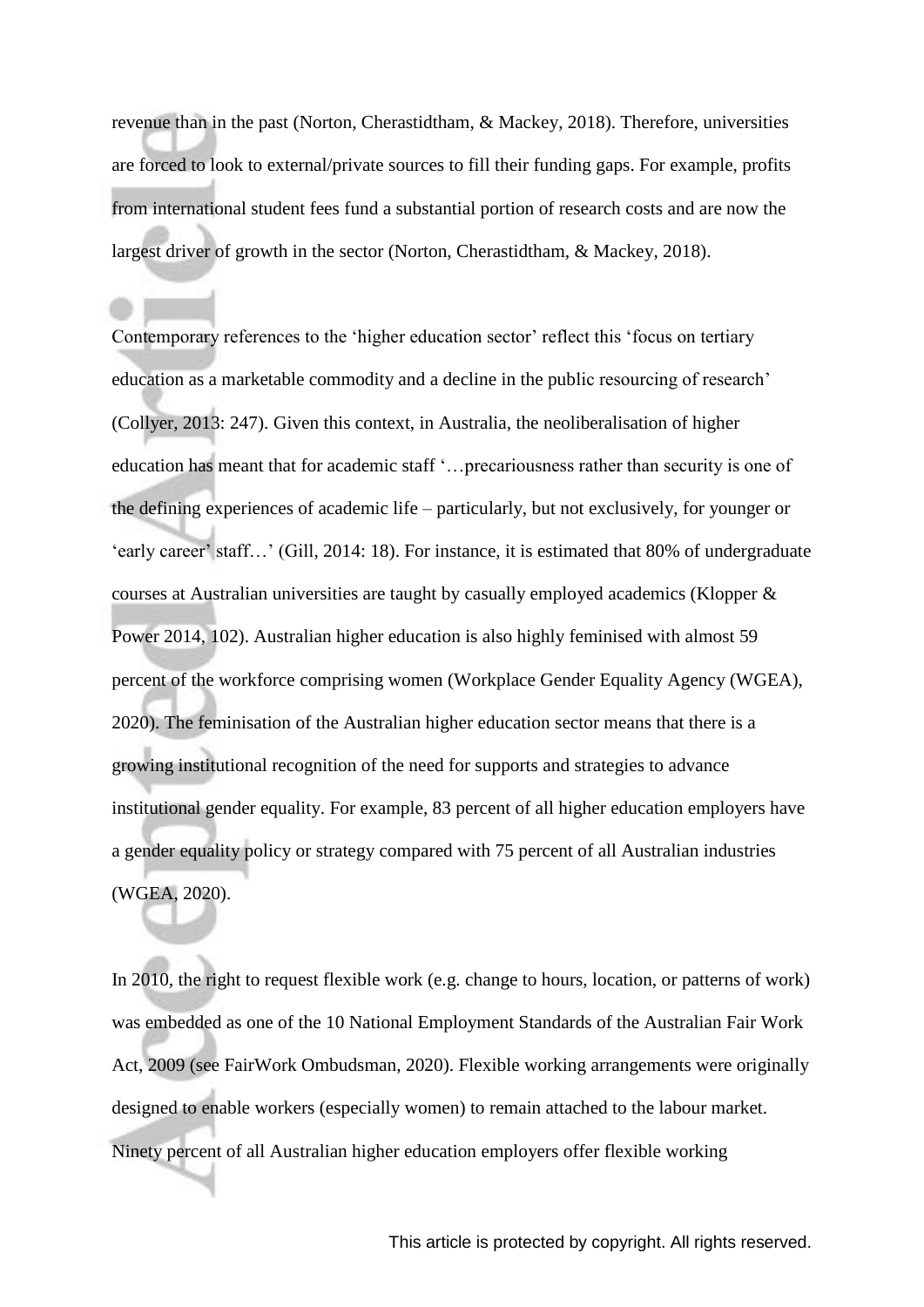revenue than in the past (Norton, Cherastidtham, & Mackey, 2018). Therefore, universities are forced to look to external/private sources to fill their funding gaps. For example, profits from international student fees fund a substantial portion of research costs and are now the largest driver of growth in the sector (Norton, Cherastidtham, & Mackey, 2018).

Contemporary references to the 'higher education sector' reflect this 'focus on tertiary education as a marketable commodity and a decline in the public resourcing of research' (Collyer, 2013: 247). Given this context, in Australia, the neoliberalisation of higher education has meant that for academic staff '…precariousness rather than security is one of the defining experiences of academic life – particularly, but not exclusively, for younger or 'early career' staff…' (Gill, 2014: 18). For instance, it is estimated that 80% of undergraduate courses at Australian universities are taught by casually employed academics (Klopper & Power 2014, 102). Australian higher education is also highly feminised with almost 59 percent of the workforce comprising women (Workplace Gender Equality Agency (WGEA), 2020). The feminisation of the Australian higher education sector means that there is a growing institutional recognition of the need for supports and strategies to advance institutional gender equality. For example, 83 percent of all higher education employers have a gender equality policy or strategy compared with 75 percent of all Australian industries (WGEA, 2020).

In 2010, the right to request flexible work (e.g. change to hours, location, or patterns of work) was embedded as one of the 10 National Employment Standards of the Australian Fair Work Act, 2009 (see FairWork Ombudsman, 2020). Flexible working arrangements were originally designed to enable workers (especially women) to remain attached to the labour market. Ninety percent of all Australian higher education employers offer flexible working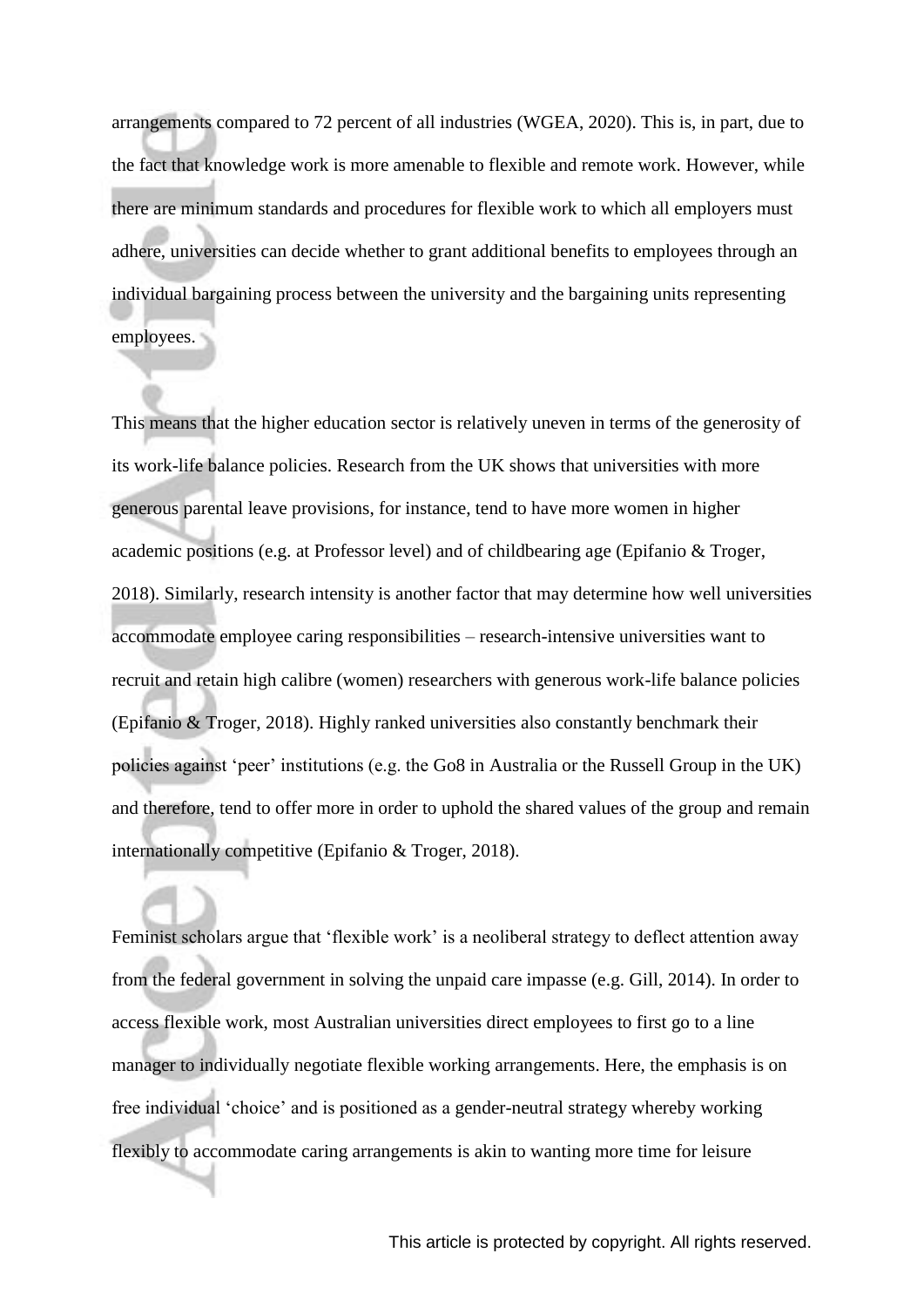arrangements compared to 72 percent of all industries (WGEA, 2020). This is, in part, due to the fact that knowledge work is more amenable to flexible and remote work. However, while there are minimum standards and procedures for flexible work to which all employers must adhere, universities can decide whether to grant additional benefits to employees through an individual bargaining process between the university and the bargaining units representing employees.

This means that the higher education sector is relatively uneven in terms of the generosity of its work-life balance policies. Research from the UK shows that universities with more generous parental leave provisions, for instance, tend to have more women in higher academic positions (e.g. at Professor level) and of childbearing age (Epifanio & Troger, 2018). Similarly, research intensity is another factor that may determine how well universities accommodate employee caring responsibilities – research-intensive universities want to recruit and retain high calibre (women) researchers with generous work-life balance policies (Epifanio & Troger, 2018). Highly ranked universities also constantly benchmark their policies against 'peer' institutions (e.g. the Go8 in Australia or the Russell Group in the UK) and therefore, tend to offer more in order to uphold the shared values of the group and remain internationally competitive (Epifanio & Troger, 2018).

Feminist scholars argue that 'flexible work' is a neoliberal strategy to deflect attention away from the federal government in solving the unpaid care impasse (e.g. Gill, 2014). In order to access flexible work, most Australian universities direct employees to first go to a line manager to individually negotiate flexible working arrangements. Here, the emphasis is on free individual 'choice' and is positioned as a gender-neutral strategy whereby working flexibly to accommodate caring arrangements is akin to wanting more time for leisure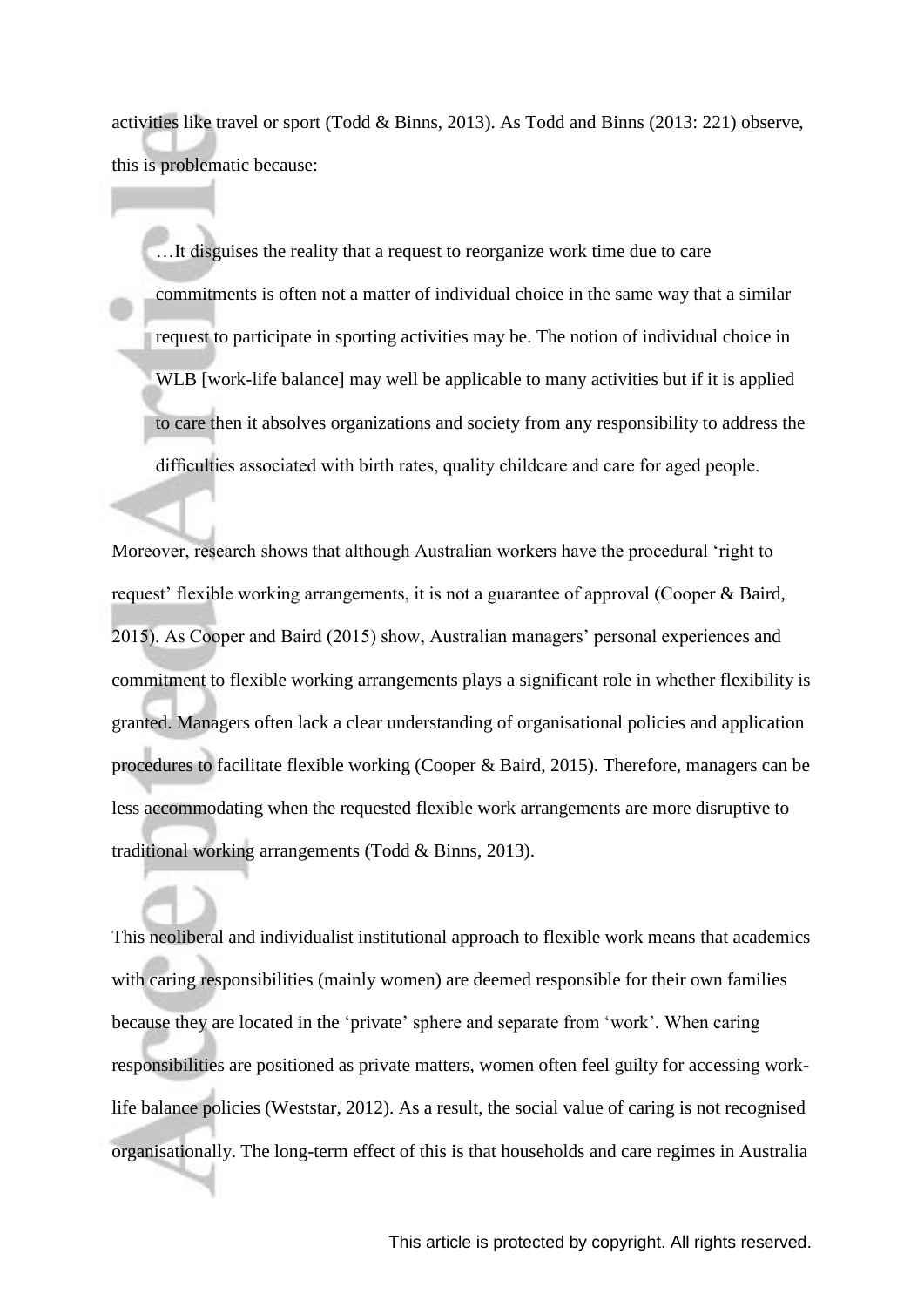activities like travel or sport (Todd & Binns, 2013). As Todd and Binns (2013: 221) observe, this is problematic because:

…It disguises the reality that a request to reorganize work time due to care commitments is often not a matter of individual choice in the same way that a similar request to participate in sporting activities may be. The notion of individual choice in WLB [work-life balance] may well be applicable to many activities but if it is applied to care then it absolves organizations and society from any responsibility to address the difficulties associated with birth rates, quality childcare and care for aged people.

Moreover, research shows that although Australian workers have the procedural 'right to request' flexible working arrangements, it is not a guarantee of approval (Cooper & Baird, 2015). As Cooper and Baird (2015) show, Australian managers' personal experiences and commitment to flexible working arrangements plays a significant role in whether flexibility is granted. Managers often lack a clear understanding of organisational policies and application procedures to facilitate flexible working (Cooper & Baird, 2015). Therefore, managers can be less accommodating when the requested flexible work arrangements are more disruptive to traditional working arrangements (Todd & Binns, 2013).

This neoliberal and individualist institutional approach to flexible work means that academics with caring responsibilities (mainly women) are deemed responsible for their own families because they are located in the 'private' sphere and separate from 'work'. When caring responsibilities are positioned as private matters, women often feel guilty for accessing worklife balance policies (Weststar, 2012). As a result, the social value of caring is not recognised organisationally. The long-term effect of this is that households and care regimes in Australia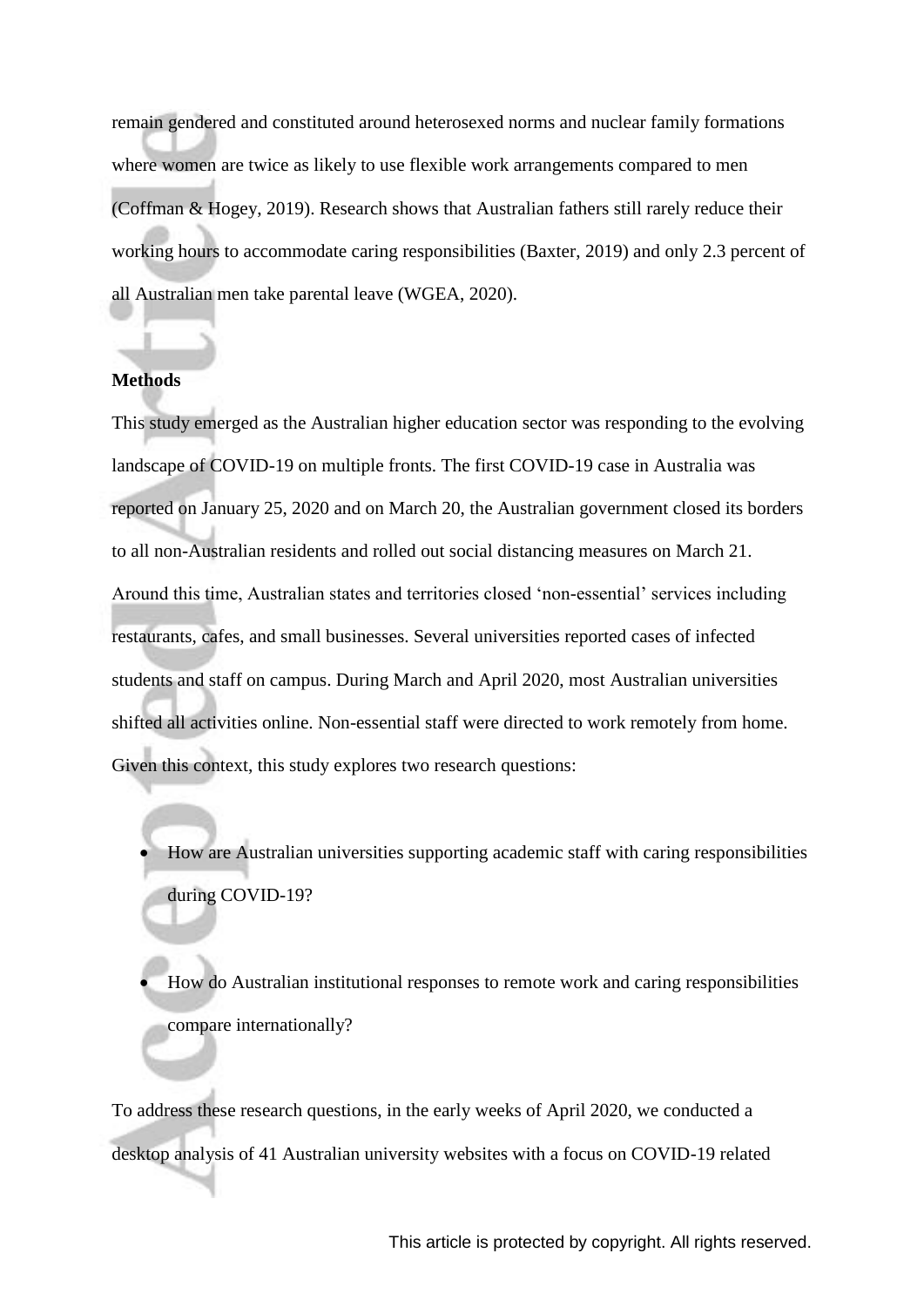remain gendered and constituted around heterosexed norms and nuclear family formations where women are twice as likely to use flexible work arrangements compared to men (Coffman & Hogey, 2019). Research shows that Australian fathers still rarely reduce their working hours to accommodate caring responsibilities (Baxter, 2019) and only 2.3 percent of all Australian men take parental leave (WGEA, 2020).

#### **Methods**

This study emerged as the Australian higher education sector was responding to the evolving landscape of COVID-19 on multiple fronts. The first COVID-19 case in Australia was reported on January 25, 2020 and on March 20, the Australian government closed its borders to all non-Australian residents and rolled out social distancing measures on March 21. Around this time, Australian states and territories closed 'non-essential' services including restaurants, cafes, and small businesses. Several universities reported cases of infected students and staff on campus. During March and April 2020, most Australian universities shifted all activities online. Non-essential staff were directed to work remotely from home. Given this context, this study explores two research questions:

- How are Australian universities supporting academic staff with caring responsibilities during COVID-19?
- How do Australian institutional responses to remote work and caring responsibilities compare internationally?

To address these research questions, in the early weeks of April 2020, we conducted a desktop analysis of 41 Australian university websites with a focus on COVID-19 related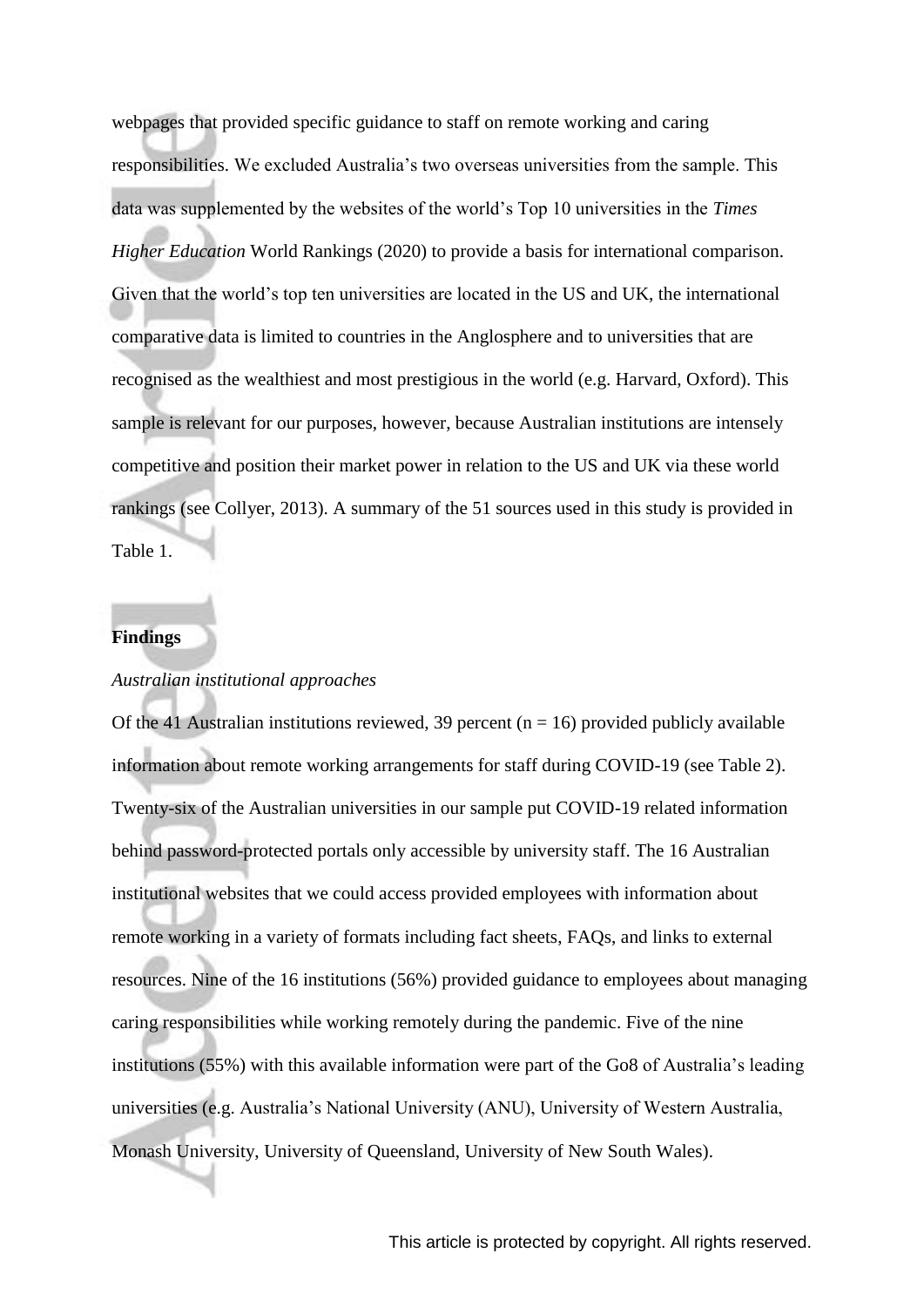webpages that provided specific guidance to staff on remote working and caring responsibilities. We excluded Australia's two overseas universities from the sample. This data was supplemented by the websites of the world's Top 10 universities in the *Times Higher Education* World Rankings (2020) to provide a basis for international comparison. Given that the world's top ten universities are located in the US and UK, the international comparative data is limited to countries in the Anglosphere and to universities that are recognised as the wealthiest and most prestigious in the world (e.g. Harvard, Oxford). This sample is relevant for our purposes, however, because Australian institutions are intensely competitive and position their market power in relation to the US and UK via these world rankings (see Collyer, 2013). A summary of the 51 sources used in this study is provided in Table 1.

#### **Findings**

#### *Australian institutional approaches*

Of the 41 Australian institutions reviewed, 39 percent ( $n = 16$ ) provided publicly available information about remote working arrangements for staff during COVID-19 (see Table 2). Twenty-six of the Australian universities in our sample put COVID-19 related information behind password-protected portals only accessible by university staff. The 16 Australian institutional websites that we could access provided employees with information about remote working in a variety of formats including fact sheets, FAQs, and links to external resources. Nine of the 16 institutions (56%) provided guidance to employees about managing caring responsibilities while working remotely during the pandemic. Five of the nine institutions (55%) with this available information were part of the Go8 of Australia's leading universities (e.g. Australia's National University (ANU), University of Western Australia, Monash University, University of Queensland, University of New South Wales).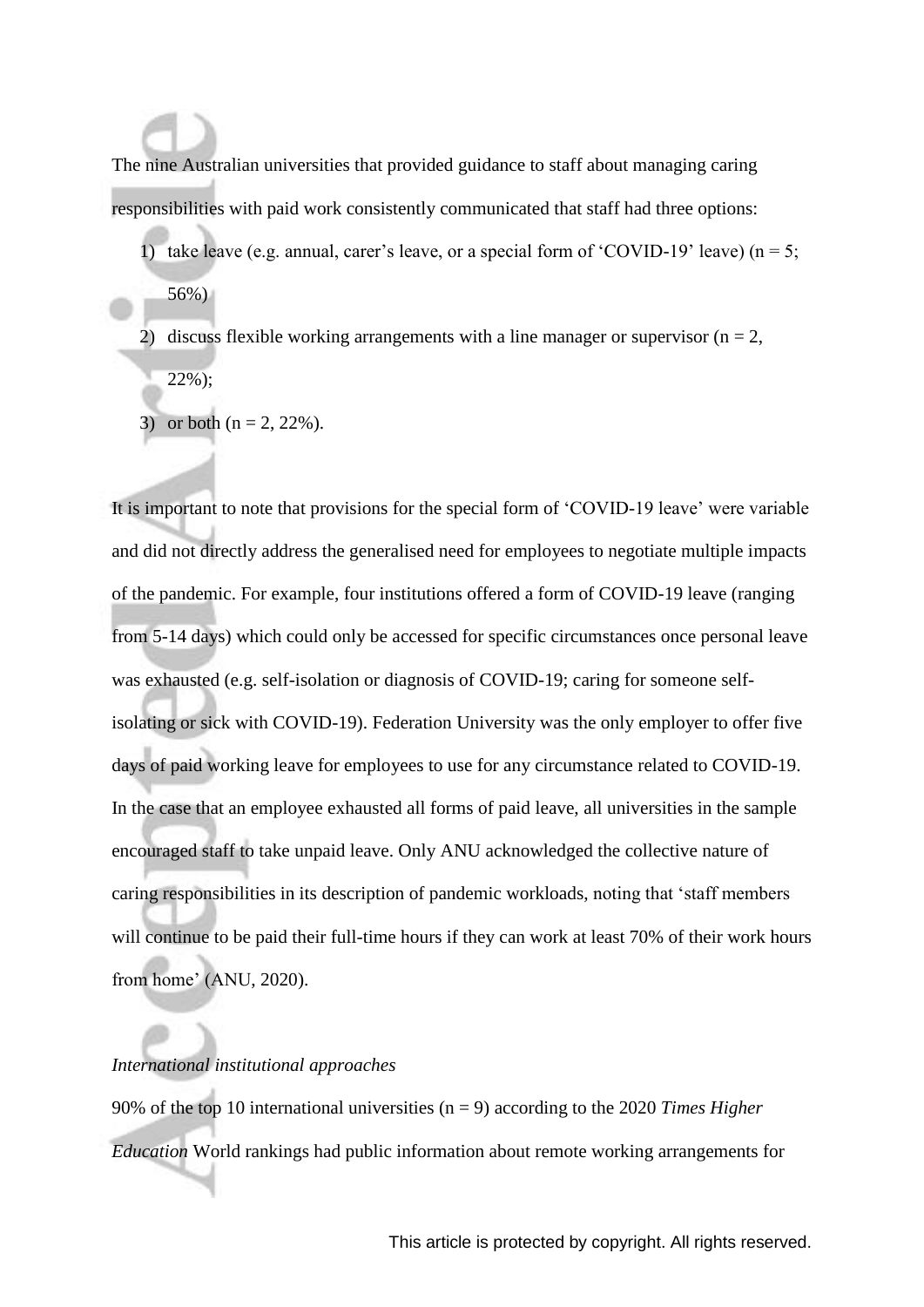The nine Australian universities that provided guidance to staff about managing caring responsibilities with paid work consistently communicated that staff had three options:

- 1) take leave (e.g. annual, carer's leave, or a special form of 'COVID-19' leave) ( $n = 5$ ; 56%)
- 2) discuss flexible working arrangements with a line manager or supervisor ( $n = 2$ , 22%);
- 3) or both  $(n = 2, 22\%)$ .

It is important to note that provisions for the special form of 'COVID-19 leave' were variable and did not directly address the generalised need for employees to negotiate multiple impacts of the pandemic. For example, four institutions offered a form of COVID-19 leave (ranging from 5-14 days) which could only be accessed for specific circumstances once personal leave was exhausted (e.g. self-isolation or diagnosis of COVID-19; caring for someone selfisolating or sick with COVID-19). Federation University was the only employer to offer five days of paid working leave for employees to use for any circumstance related to COVID-19. In the case that an employee exhausted all forms of paid leave, all universities in the sample encouraged staff to take unpaid leave. Only ANU acknowledged the collective nature of caring responsibilities in its description of pandemic workloads, noting that 'staff members will continue to be paid their full-time hours if they can work at least 70% of their work hours from home' (ANU, 2020).

#### *International institutional approaches*

90% of the top 10 international universities (n = 9) according to the 2020 *Times Higher Education* World rankings had public information about remote working arrangements for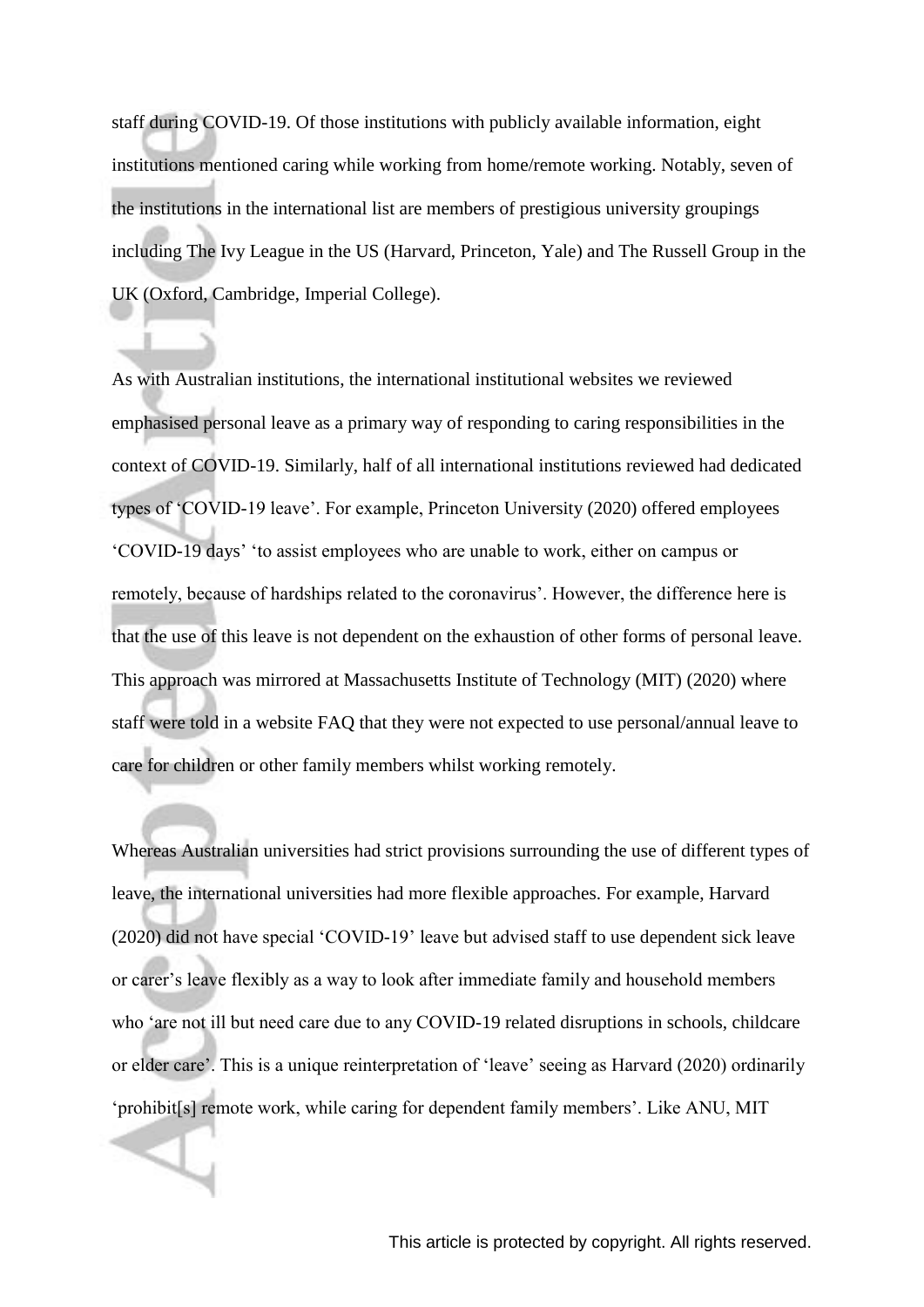staff during COVID-19. Of those institutions with publicly available information, eight institutions mentioned caring while working from home/remote working. Notably, seven of the institutions in the international list are members of prestigious university groupings including The Ivy League in the US (Harvard, Princeton, Yale) and The Russell Group in the UK (Oxford, Cambridge, Imperial College).

As with Australian institutions, the international institutional websites we reviewed emphasised personal leave as a primary way of responding to caring responsibilities in the context of COVID-19. Similarly, half of all international institutions reviewed had dedicated types of 'COVID-19 leave'. For example, Princeton University (2020) offered employees 'COVID-19 days' 'to assist employees who are unable to work, either on campus or remotely, because of hardships related to the coronavirus'. However, the difference here is that the use of this leave is not dependent on the exhaustion of other forms of personal leave. This approach was mirrored at Massachusetts Institute of Technology (MIT) (2020) where staff were told in a website FAQ that they were not expected to use personal/annual leave to care for children or other family members whilst working remotely.

Whereas Australian universities had strict provisions surrounding the use of different types of leave, the international universities had more flexible approaches. For example, Harvard (2020) did not have special 'COVID-19' leave but advised staff to use dependent sick leave or carer's leave flexibly as a way to look after immediate family and household members who 'are not ill but need care due to any COVID-19 related disruptions in schools, childcare or elder care'. This is a unique reinterpretation of 'leave' seeing as Harvard (2020) ordinarily 'prohibit[s] remote work, while caring for dependent family members'. Like ANU, MIT

 $\blacktriangleleft$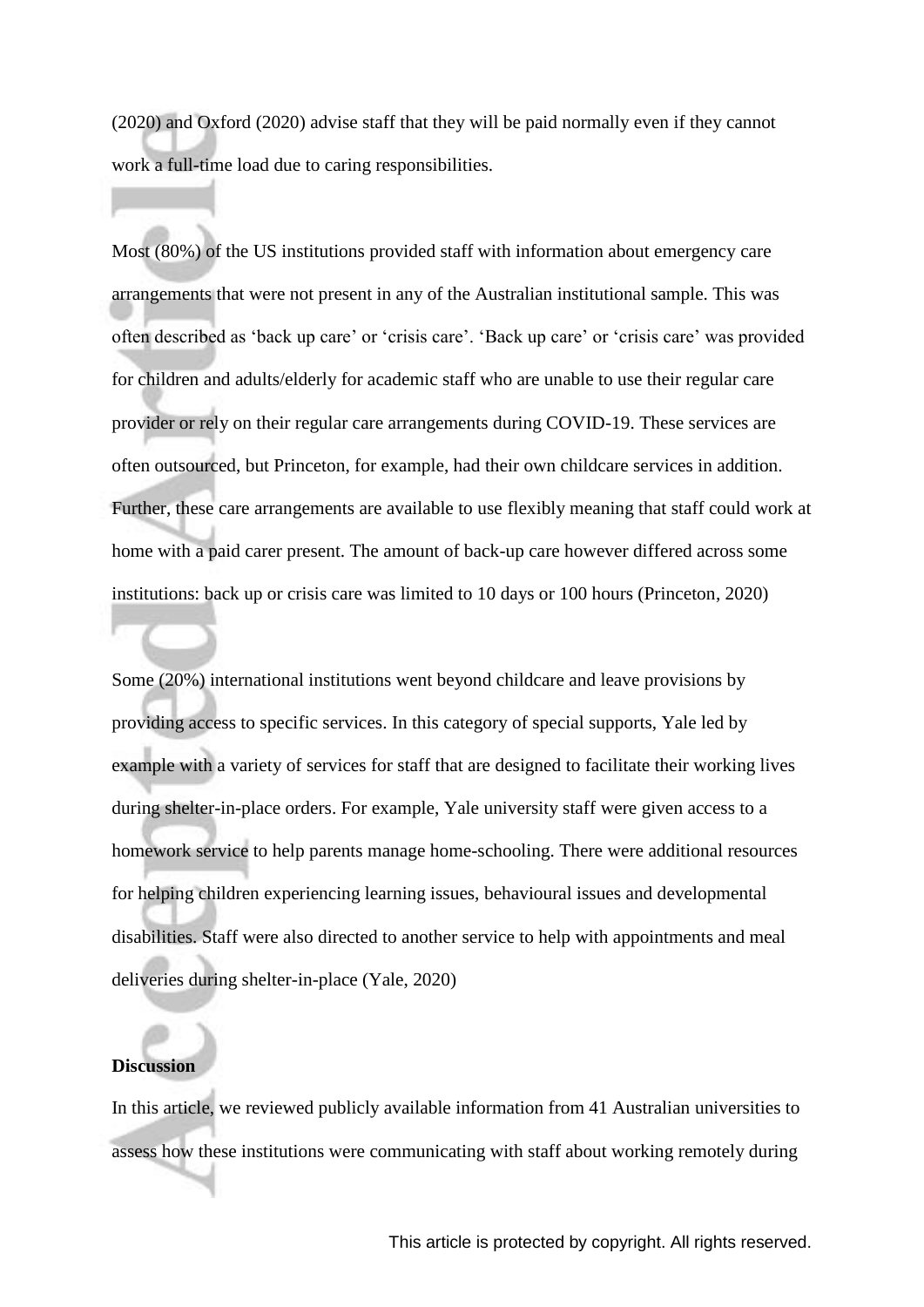(2020) and Oxford (2020) advise staff that they will be paid normally even if they cannot work a full-time load due to caring responsibilities.

Most (80%) of the US institutions provided staff with information about emergency care arrangements that were not present in any of the Australian institutional sample. This was often described as 'back up care' or 'crisis care'. 'Back up care' or 'crisis care' was provided for children and adults/elderly for academic staff who are unable to use their regular care provider or rely on their regular care arrangements during COVID-19. These services are often outsourced, but Princeton, for example, had their own childcare services in addition. Further, these care arrangements are available to use flexibly meaning that staff could work at home with a paid carer present. The amount of back-up care however differed across some institutions: back up or crisis care was limited to 10 days or 100 hours (Princeton, 2020)

Some (20%) international institutions went beyond childcare and leave provisions by providing access to specific services. In this category of special supports, Yale led by example with a variety of services for staff that are designed to facilitate their working lives during shelter-in-place orders. For example, Yale university staff were given access to a homework service to help parents manage home-schooling. There were additional resources for helping children experiencing learning issues, behavioural issues and developmental disabilities. Staff were also directed to another service to help with appointments and meal deliveries during shelter-in-place (Yale, 2020)

#### **Discussion**

In this article, we reviewed publicly available information from 41 Australian universities to assess how these institutions were communicating with staff about working remotely during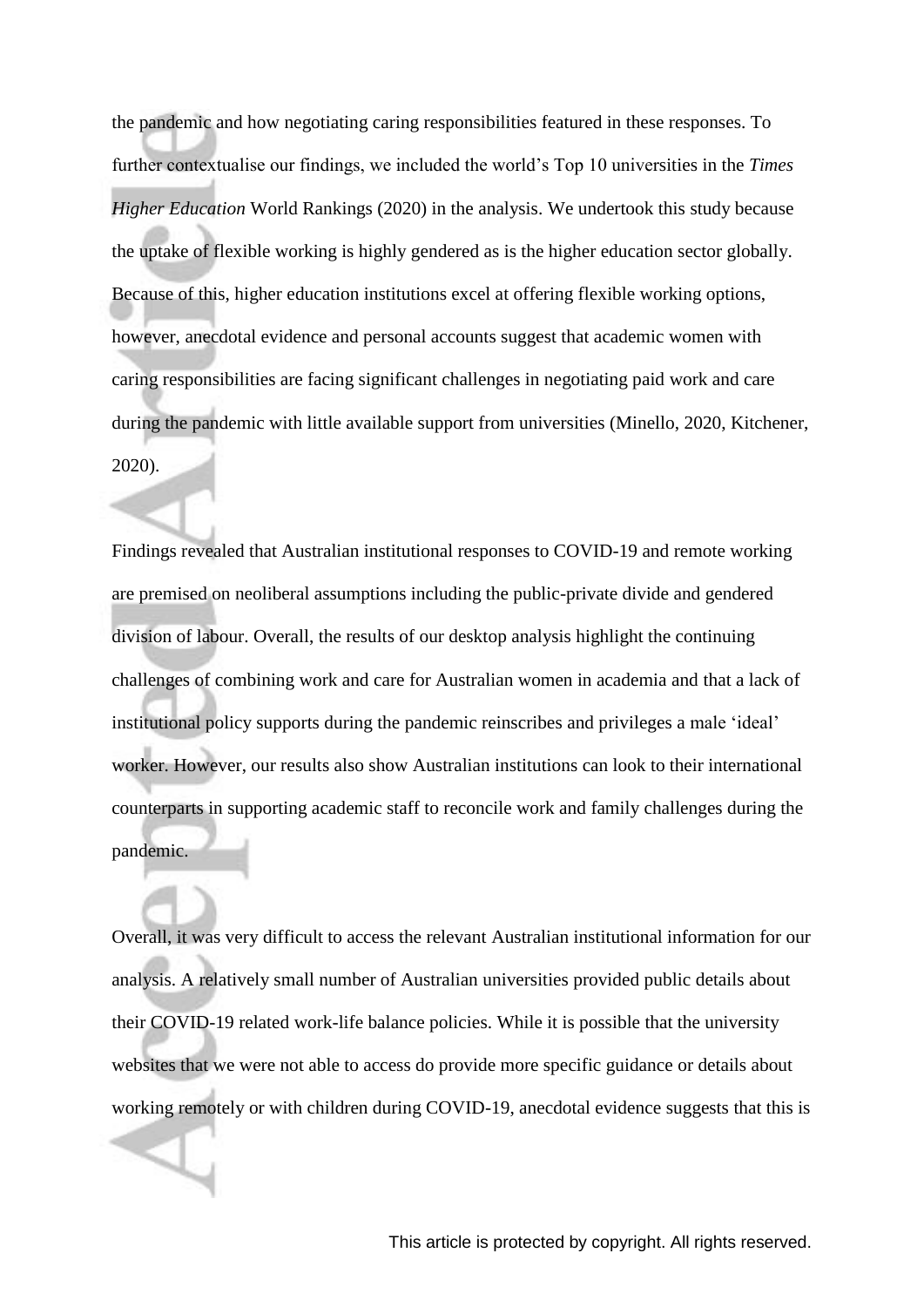the pandemic and how negotiating caring responsibilities featured in these responses. To further contextualise our findings, we included the world's Top 10 universities in the *Times Higher Education* World Rankings (2020) in the analysis. We undertook this study because the uptake of flexible working is highly gendered as is the higher education sector globally. Because of this, higher education institutions excel at offering flexible working options, however, anecdotal evidence and personal accounts suggest that academic women with caring responsibilities are facing significant challenges in negotiating paid work and care during the pandemic with little available support from universities (Minello, 2020, Kitchener, 2020).

Findings revealed that Australian institutional responses to COVID-19 and remote working are premised on neoliberal assumptions including the public-private divide and gendered division of labour. Overall, the results of our desktop analysis highlight the continuing challenges of combining work and care for Australian women in academia and that a lack of institutional policy supports during the pandemic reinscribes and privileges a male 'ideal' worker. However, our results also show Australian institutions can look to their international counterparts in supporting academic staff to reconcile work and family challenges during the pandemic.

Overall, it was very difficult to access the relevant Australian institutional information for our analysis. A relatively small number of Australian universities provided public details about their COVID-19 related work-life balance policies. While it is possible that the university websites that we were not able to access do provide more specific guidance or details about working remotely or with children during COVID-19, anecdotal evidence suggests that this is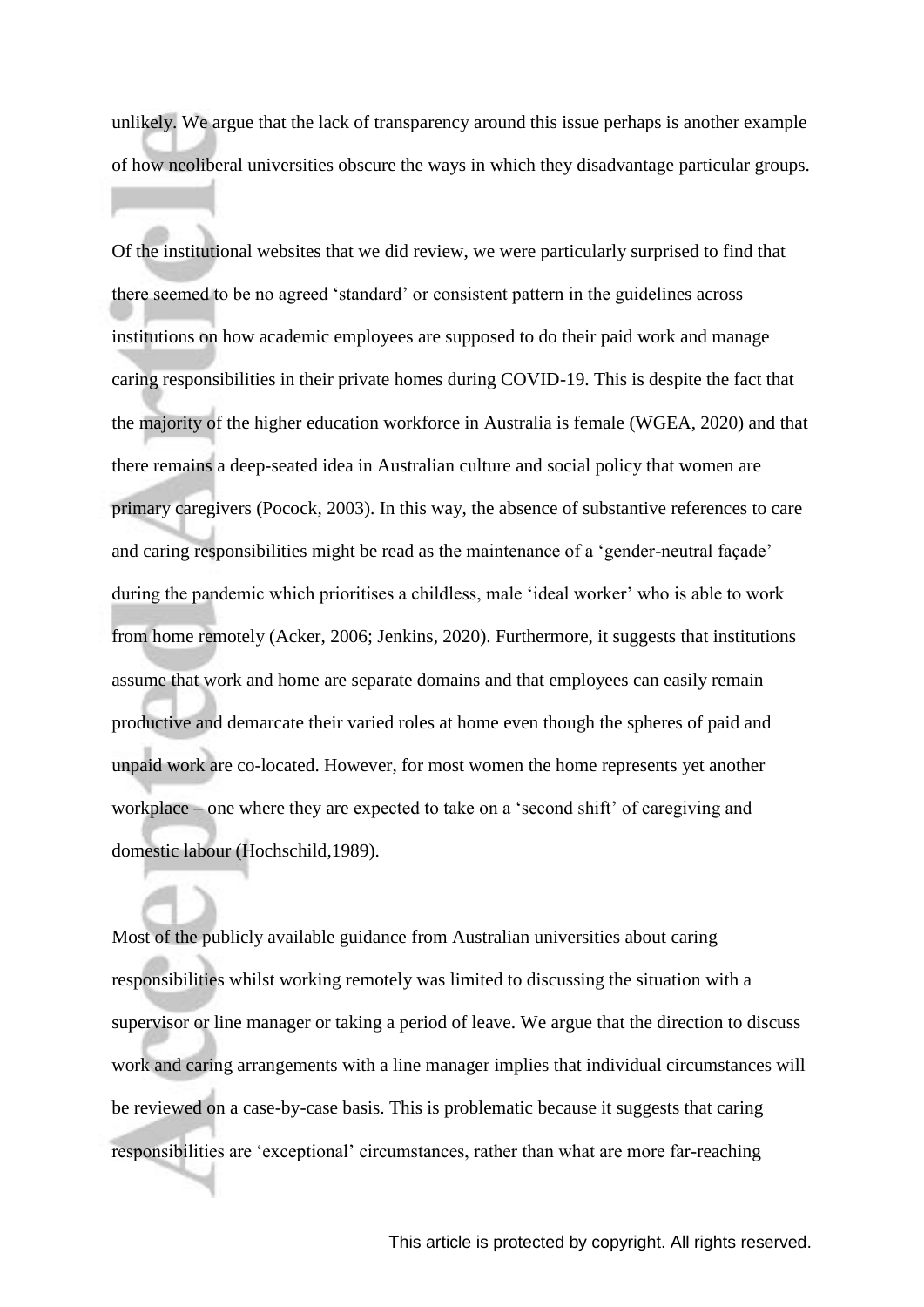unlikely. We argue that the lack of transparency around this issue perhaps is another example of how neoliberal universities obscure the ways in which they disadvantage particular groups.

Of the institutional websites that we did review, we were particularly surprised to find that there seemed to be no agreed 'standard' or consistent pattern in the guidelines across institutions on how academic employees are supposed to do their paid work and manage caring responsibilities in their private homes during COVID-19. This is despite the fact that the majority of the higher education workforce in Australia is female (WGEA, 2020) and that there remains a deep-seated idea in Australian culture and social policy that women are primary caregivers (Pocock, 2003). In this way, the absence of substantive references to care and caring responsibilities might be read as the maintenance of a 'gender-neutral façade' during the pandemic which prioritises a childless, male 'ideal worker' who is able to work from home remotely (Acker, 2006; Jenkins, 2020). Furthermore, it suggests that institutions assume that work and home are separate domains and that employees can easily remain productive and demarcate their varied roles at home even though the spheres of paid and unpaid work are co-located. However, for most women the home represents yet another workplace – one where they are expected to take on a 'second shift' of caregiving and domestic labour (Hochschild,1989).

Most of the publicly available guidance from Australian universities about caring responsibilities whilst working remotely was limited to discussing the situation with a supervisor or line manager or taking a period of leave. We argue that the direction to discuss work and caring arrangements with a line manager implies that individual circumstances will be reviewed on a case-by-case basis. This is problematic because it suggests that caring responsibilities are 'exceptional' circumstances, rather than what are more far-reaching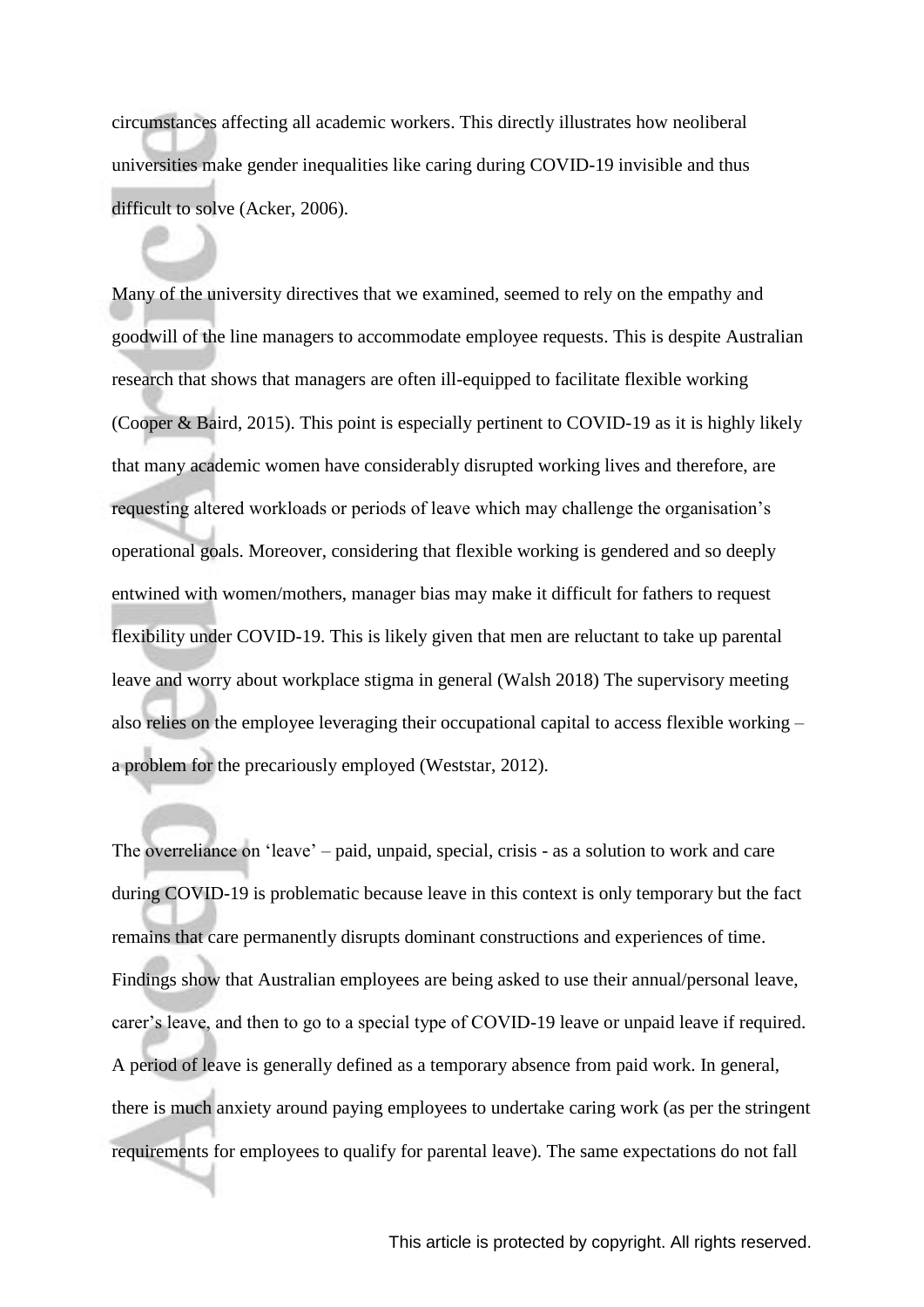circumstances affecting all academic workers. This directly illustrates how neoliberal universities make gender inequalities like caring during COVID-19 invisible and thus difficult to solve (Acker, 2006).

Many of the university directives that we examined, seemed to rely on the empathy and goodwill of the line managers to accommodate employee requests. This is despite Australian research that shows that managers are often ill-equipped to facilitate flexible working (Cooper & Baird, 2015). This point is especially pertinent to COVID-19 as it is highly likely that many academic women have considerably disrupted working lives and therefore, are requesting altered workloads or periods of leave which may challenge the organisation's operational goals. Moreover, considering that flexible working is gendered and so deeply entwined with women/mothers, manager bias may make it difficult for fathers to request flexibility under COVID-19. This is likely given that men are reluctant to take up parental leave and worry about workplace stigma in general (Walsh 2018) The supervisory meeting also relies on the employee leveraging their occupational capital to access flexible working – a problem for the precariously employed (Weststar, 2012).

The overreliance on 'leave' – paid, unpaid, special, crisis - as a solution to work and care during COVID-19 is problematic because leave in this context is only temporary but the fact remains that care permanently disrupts dominant constructions and experiences of time. Findings show that Australian employees are being asked to use their annual/personal leave, carer's leave, and then to go to a special type of COVID-19 leave or unpaid leave if required. A period of leave is generally defined as a temporary absence from paid work. In general, there is much anxiety around paying employees to undertake caring work (as per the stringent requirements for employees to qualify for parental leave). The same expectations do not fall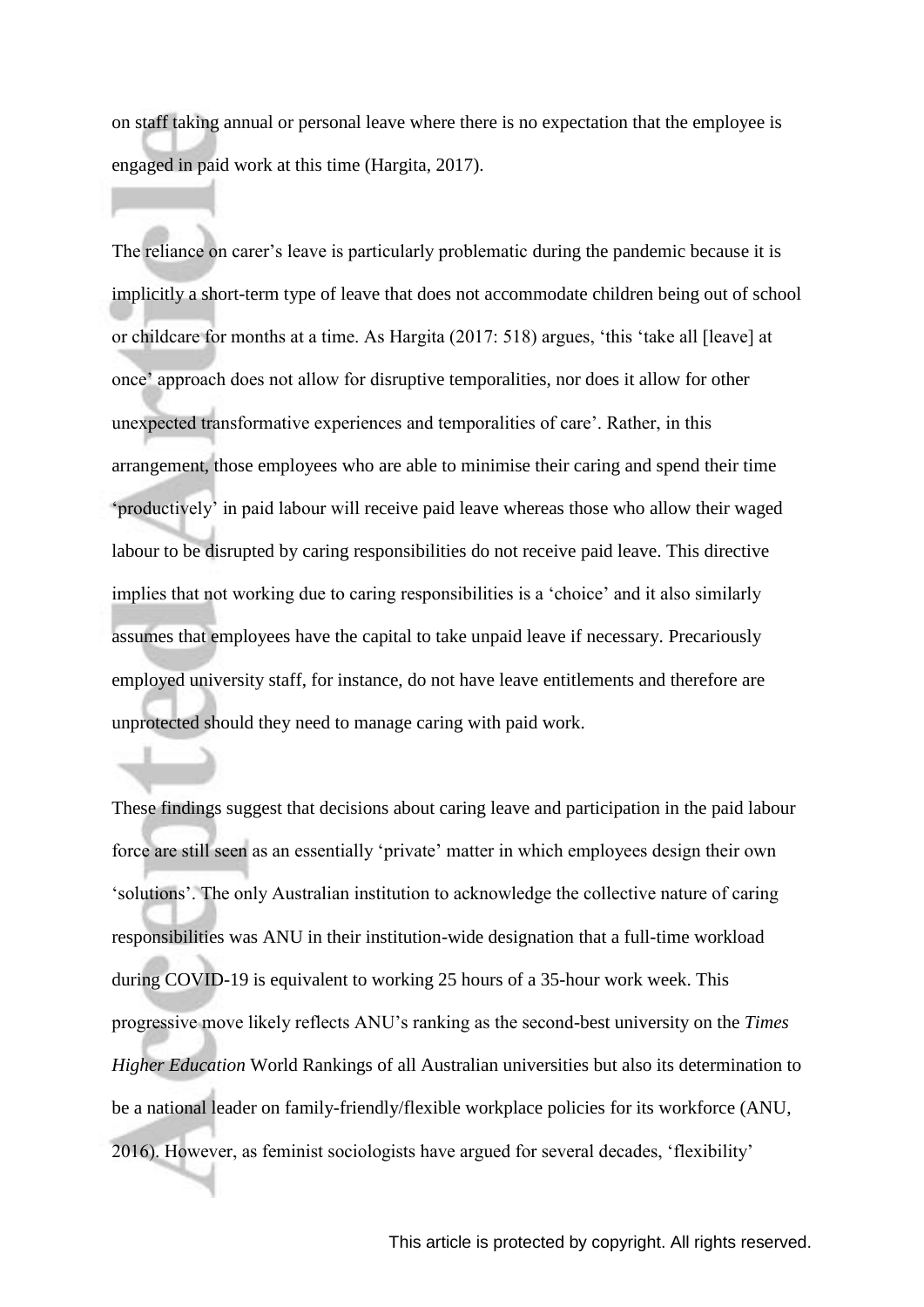on staff taking annual or personal leave where there is no expectation that the employee is engaged in paid work at this time (Hargita, 2017).

The reliance on carer's leave is particularly problematic during the pandemic because it is implicitly a short-term type of leave that does not accommodate children being out of school or childcare for months at a time. As Hargita (2017: 518) argues, 'this 'take all [leave] at once' approach does not allow for disruptive temporalities, nor does it allow for other unexpected transformative experiences and temporalities of care'. Rather, in this arrangement, those employees who are able to minimise their caring and spend their time 'productively' in paid labour will receive paid leave whereas those who allow their waged labour to be disrupted by caring responsibilities do not receive paid leave. This directive implies that not working due to caring responsibilities is a 'choice' and it also similarly assumes that employees have the capital to take unpaid leave if necessary. Precariously employed university staff, for instance, do not have leave entitlements and therefore are unprotected should they need to manage caring with paid work.

These findings suggest that decisions about caring leave and participation in the paid labour force are still seen as an essentially 'private' matter in which employees design their own 'solutions'. The only Australian institution to acknowledge the collective nature of caring responsibilities was ANU in their institution-wide designation that a full-time workload during COVID-19 is equivalent to working 25 hours of a 35-hour work week. This progressive move likely reflects ANU's ranking as the second-best university on the *Times Higher Education* World Rankings of all Australian universities but also its determination to be a national leader on family-friendly/flexible workplace policies for its workforce (ANU, 2016). However, as feminist sociologists have argued for several decades, 'flexibility'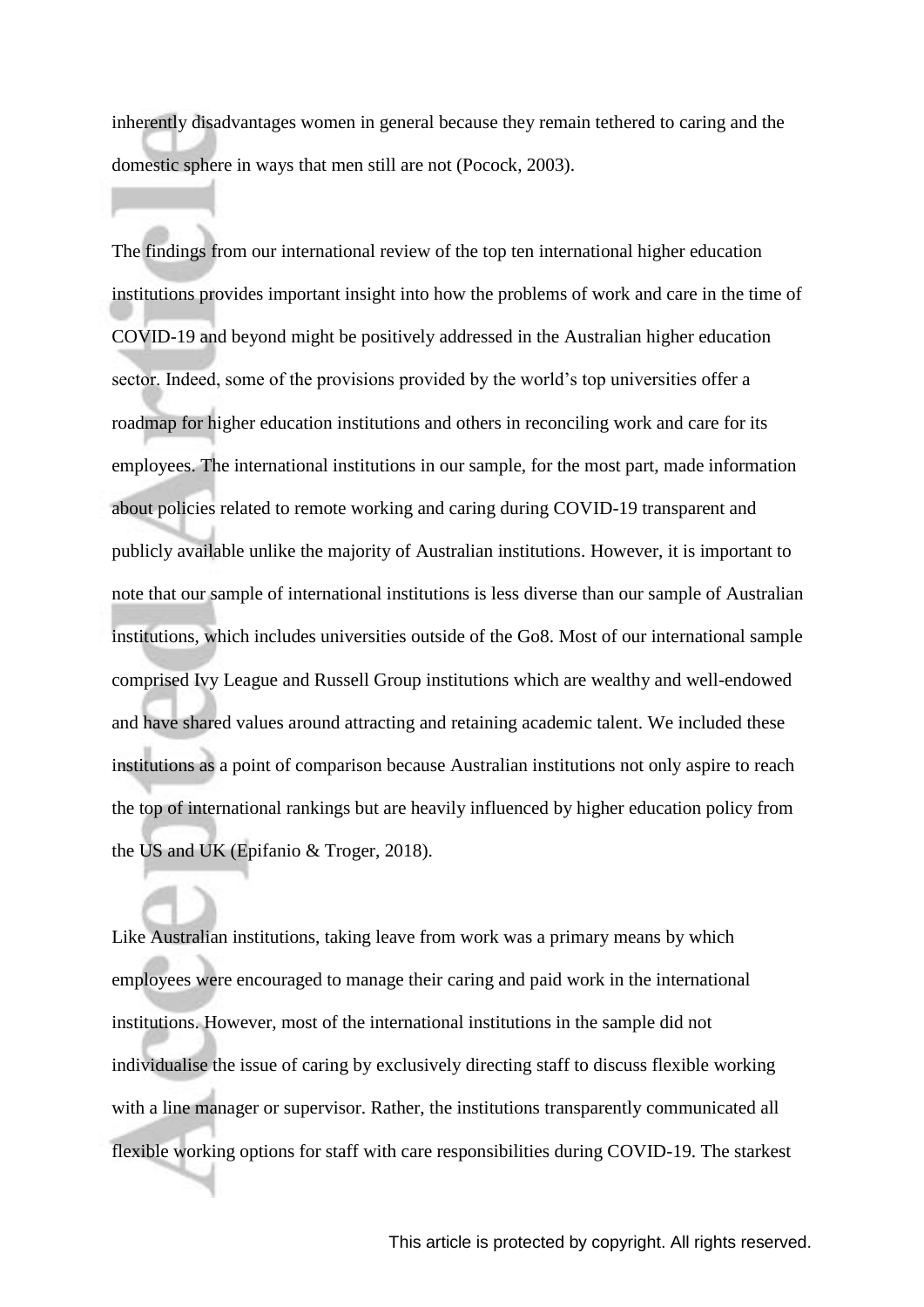inherently disadvantages women in general because they remain tethered to caring and the domestic sphere in ways that men still are not (Pocock, 2003).

The findings from our international review of the top ten international higher education institutions provides important insight into how the problems of work and care in the time of COVID-19 and beyond might be positively addressed in the Australian higher education sector. Indeed, some of the provisions provided by the world's top universities offer a roadmap for higher education institutions and others in reconciling work and care for its employees. The international institutions in our sample, for the most part, made information about policies related to remote working and caring during COVID-19 transparent and publicly available unlike the majority of Australian institutions. However, it is important to note that our sample of international institutions is less diverse than our sample of Australian institutions, which includes universities outside of the Go8. Most of our international sample comprised Ivy League and Russell Group institutions which are wealthy and well-endowed and have shared values around attracting and retaining academic talent. We included these institutions as a point of comparison because Australian institutions not only aspire to reach the top of international rankings but are heavily influenced by higher education policy from the US and UK (Epifanio & Troger, 2018).

Like Australian institutions, taking leave from work was a primary means by which employees were encouraged to manage their caring and paid work in the international institutions. However, most of the international institutions in the sample did not individualise the issue of caring by exclusively directing staff to discuss flexible working with a line manager or supervisor. Rather, the institutions transparently communicated all flexible working options for staff with care responsibilities during COVID-19. The starkest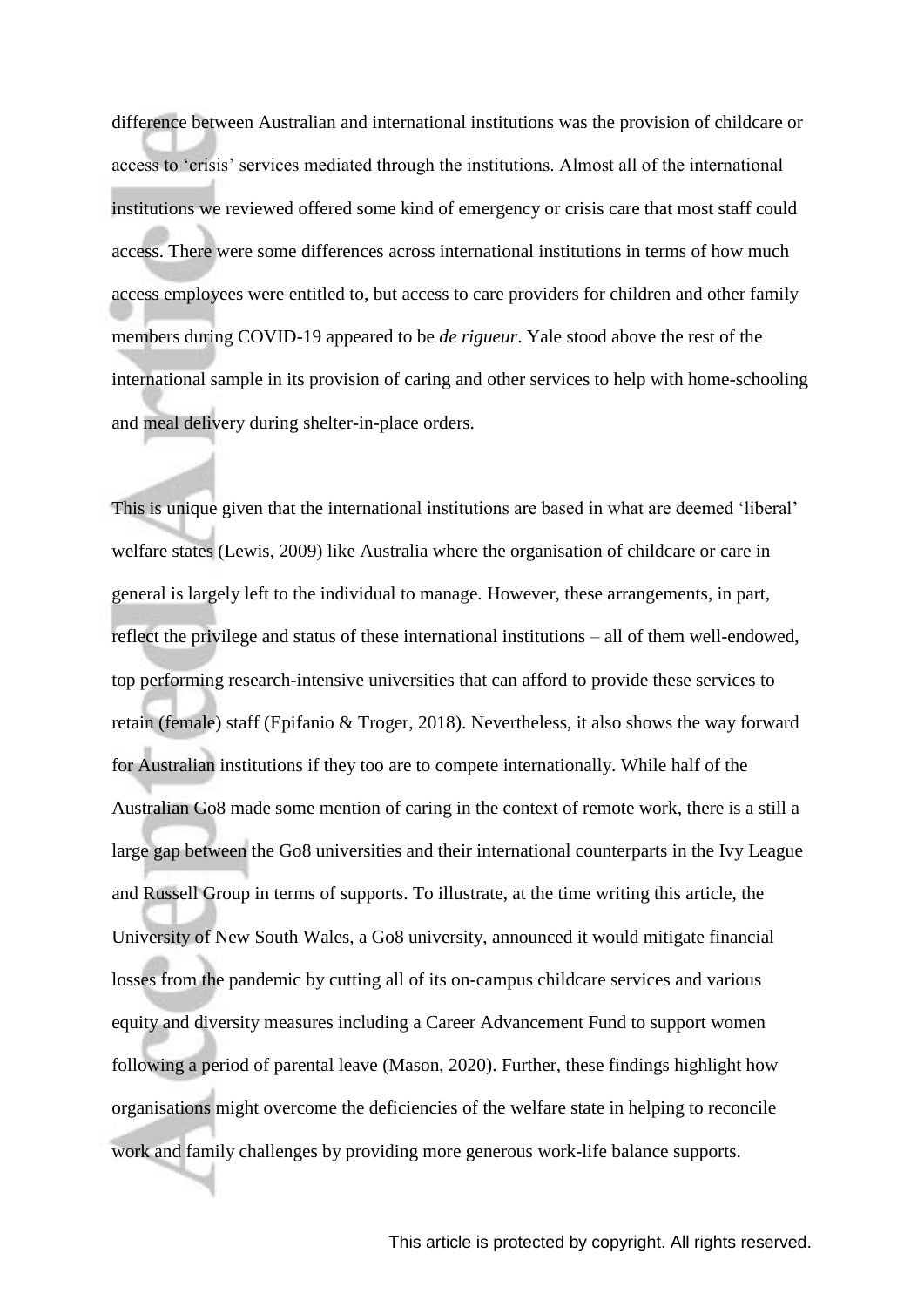difference between Australian and international institutions was the provision of childcare or access to 'crisis' services mediated through the institutions. Almost all of the international institutions we reviewed offered some kind of emergency or crisis care that most staff could access. There were some differences across international institutions in terms of how much access employees were entitled to, but access to care providers for children and other family members during COVID-19 appeared to be *de rigueur*. Yale stood above the rest of the international sample in its provision of caring and other services to help with home-schooling and meal delivery during shelter-in-place orders.

This is unique given that the international institutions are based in what are deemed 'liberal' welfare states (Lewis, 2009) like Australia where the organisation of childcare or care in general is largely left to the individual to manage. However, these arrangements, in part, reflect the privilege and status of these international institutions – all of them well-endowed, top performing research-intensive universities that can afford to provide these services to retain (female) staff (Epifanio & Troger, 2018). Nevertheless, it also shows the way forward for Australian institutions if they too are to compete internationally. While half of the Australian Go8 made some mention of caring in the context of remote work, there is a still a large gap between the Go8 universities and their international counterparts in the Ivy League and Russell Group in terms of supports. To illustrate, at the time writing this article, the University of New South Wales, a Go8 university, announced it would mitigate financial losses from the pandemic by cutting all of its on-campus childcare services and various equity and diversity measures including a Career Advancement Fund to support women following a period of parental leave (Mason, 2020). Further, these findings highlight how organisations might overcome the deficiencies of the welfare state in helping to reconcile work and family challenges by providing more generous work-life balance supports.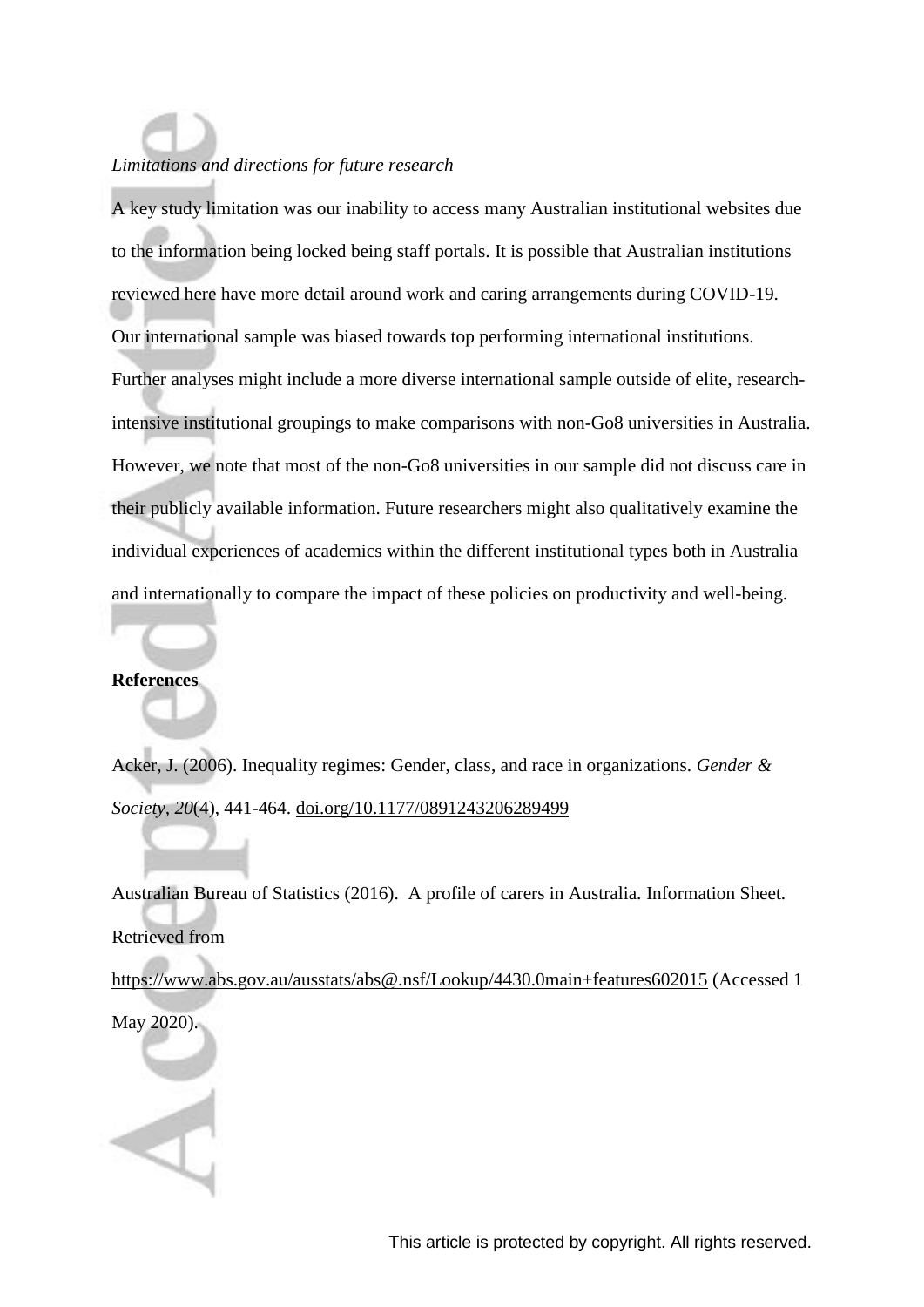# *Limitations and directions for future research*

A key study limitation was our inability to access many Australian institutional websites due to the information being locked being staff portals. It is possible that Australian institutions reviewed here have more detail around work and caring arrangements during COVID-19. Our international sample was biased towards top performing international institutions. Further analyses might include a more diverse international sample outside of elite, researchintensive institutional groupings to make comparisons with non-Go8 universities in Australia. However, we note that most of the non-Go8 universities in our sample did not discuss care in their publicly available information. Future researchers might also qualitatively examine the individual experiences of academics within the different institutional types both in Australia and internationally to compare the impact of these policies on productivity and well-being.

#### **References**

Acker, J. (2006). Inequality regimes: Gender, class, and race in organizations. *Gender & Society, 20*(4), 441-464. [doi.org/10.1177/0891243206289499](https://doi.org/10.1177%2F0891243206289499)

Australian Bureau of Statistics (2016). A profile of carers in Australia. Information Sheet. Retrieved from

<https://www.abs.gov.au/ausstats/abs@.nsf/Lookup/4430.0main+features602015> (Accessed 1 May 2020).

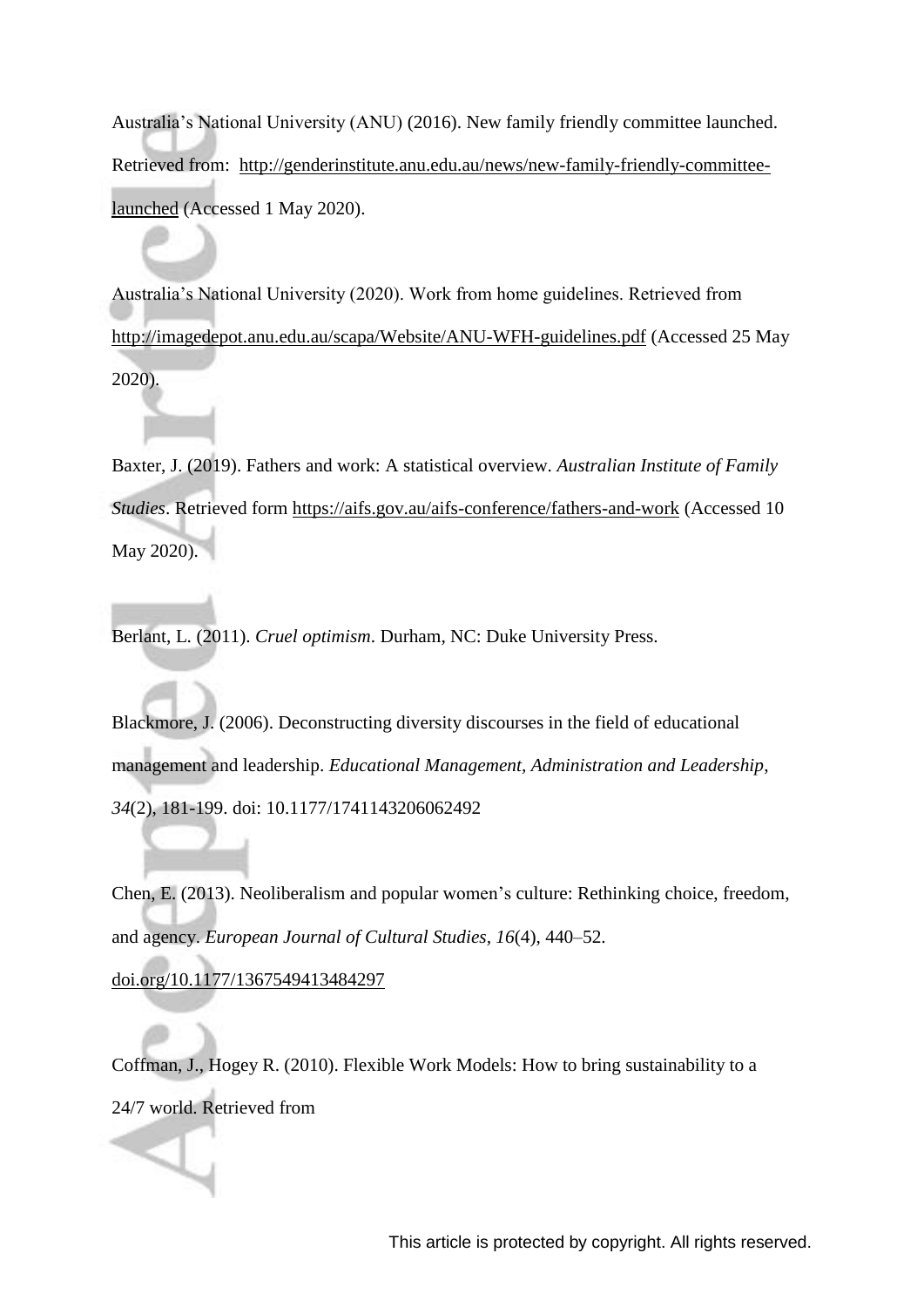Australia's National University (ANU) (2016). New family friendly committee launched. Retrieved from: [http://genderinstitute.anu.edu.au/news/new-family-friendly-committee](http://genderinstitute.anu.edu.au/news/new-family-friendly-committee-launched)[launched](http://genderinstitute.anu.edu.au/news/new-family-friendly-committee-launched) (Accessed 1 May 2020).

Australia's National University (2020). Work from home guidelines. Retrieved from <http://imagedepot.anu.edu.au/scapa/Website/ANU-WFH-guidelines.pdf> (Accessed 25 May 2020).

Baxter, J. (2019). Fathers and work: A statistical overview. *Australian Institute of Family Studies*. Retrieved form<https://aifs.gov.au/aifs-conference/fathers-and-work> (Accessed 10 May 2020).

Berlant, L. (2011). *Cruel optimism*. Durham, NC: Duke University Press.

Blackmore, J. (2006). Deconstructing diversity discourses in the field of educational management and leadership. *Educational Management, Administration and Leadership*, *34*(2), 181-199. doi: 10.1177/1741143206062492

Chen, E. (2013). Neoliberalism and popular women's culture: Rethinking choice, freedom, and agency. *European Journal of Cultural Studies, 16*(4), 440–52.

[doi.org/10.1177/1367549413484297](https://doi.org/10.1177%2F1367549413484297)

Coffman, J., Hogey R. (2010). Flexible Work Models: How to bring sustainability to a 24/7 world. Retrieved from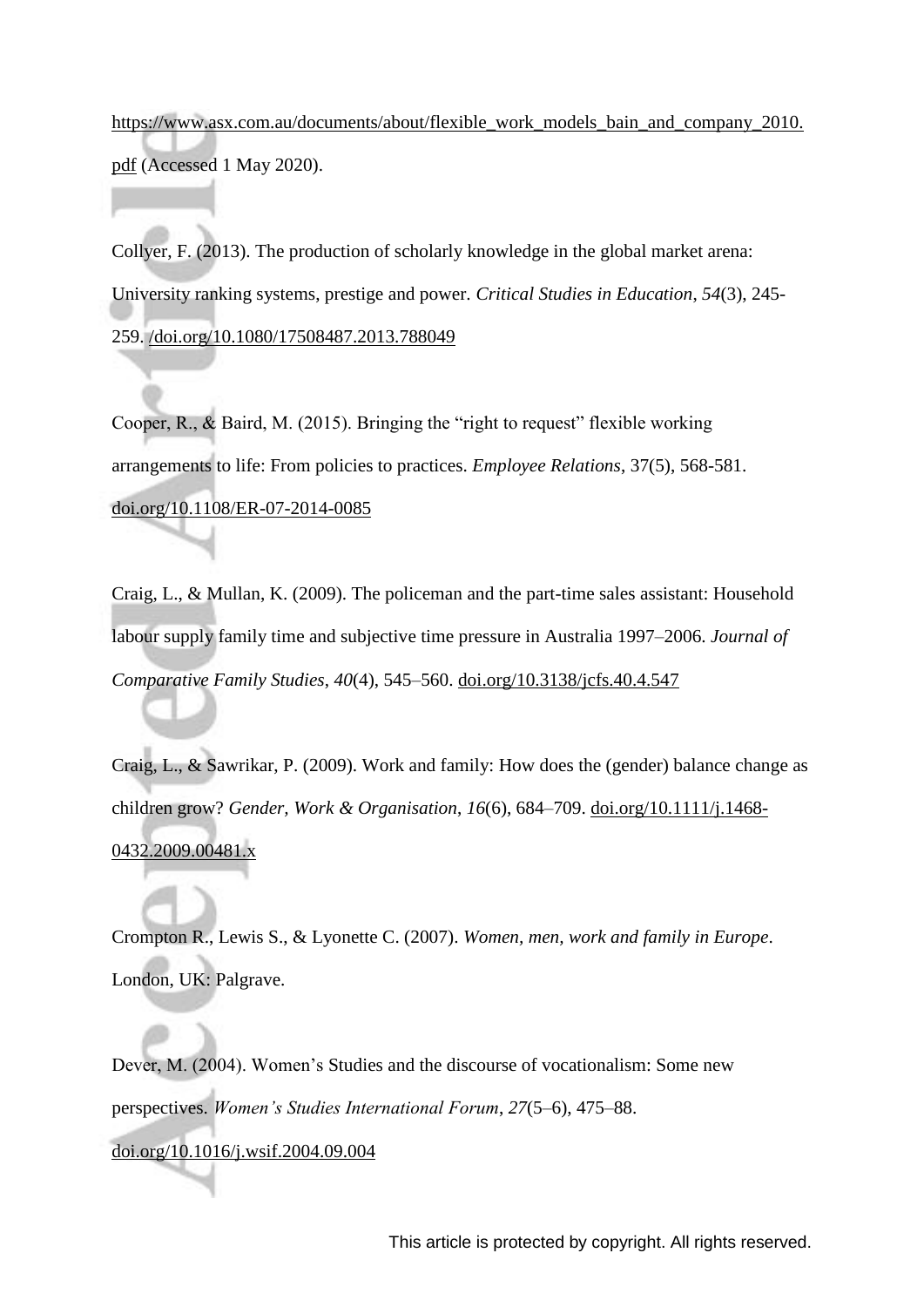[https://www.asx.com.au/documents/about/flexible\\_work\\_models\\_bain\\_and\\_company\\_2010.](https://www.asx.com.au/documents/about/flexible_work_models_bain_and_company_2010.pdf) [pdf](https://www.asx.com.au/documents/about/flexible_work_models_bain_and_company_2010.pdf) (Accessed 1 May 2020).

Collyer, F. (2013). The production of scholarly knowledge in the global market arena: University ranking systems, prestige and power. *Critical Studies in Education*, *54*(3), 245- 259. [/doi.org/10.1080/17508487.2013.788049](https://doi.org/10.1080/17508487.2013.788049)

Cooper, R., & Baird, M. (2015). Bringing the "right to request" flexible working arrangements to life: From policies to practices. *Employee Relations*, 37(5), 568-581. [doi.org/10.1108/ER-07-2014-0085](https://doi.org/10.1108/ER-07-2014-0085)

Craig, L., & Mullan, K. (2009). The policeman and the part-time sales assistant: Household labour supply family time and subjective time pressure in Australia 1997–2006. *Journal of Comparative Family Studies*, *40*(4), 545–560. [doi.org/10.3138/jcfs.40.4.547](https://doi.org/10.3138/jcfs.40.4.547)

Craig, L., & Sawrikar, P. (2009). Work and family: How does the (gender) balance change as children grow? *Gender, Work & Organisation*, *16*(6), 684–709. [doi.org/10.1111/j.1468-](https://doi.org/10.1111/j.1468-0432.2009.00481.x) [0432.2009.00481.x](https://doi.org/10.1111/j.1468-0432.2009.00481.x)

Crompton R., Lewis S., & Lyonette C. (2007). *Women, men, work and family in Europe*. London, UK: Palgrave.

Dever, M. (2004). Women's Studies and the discourse of vocationalism: Some new perspectives. *Women's Studies International Forum*, *27*(5–6), 475–88.

[doi.org/10.1016/j.wsif.2004.09.004](https://doi.org/10.1016/j.wsif.2004.09.004)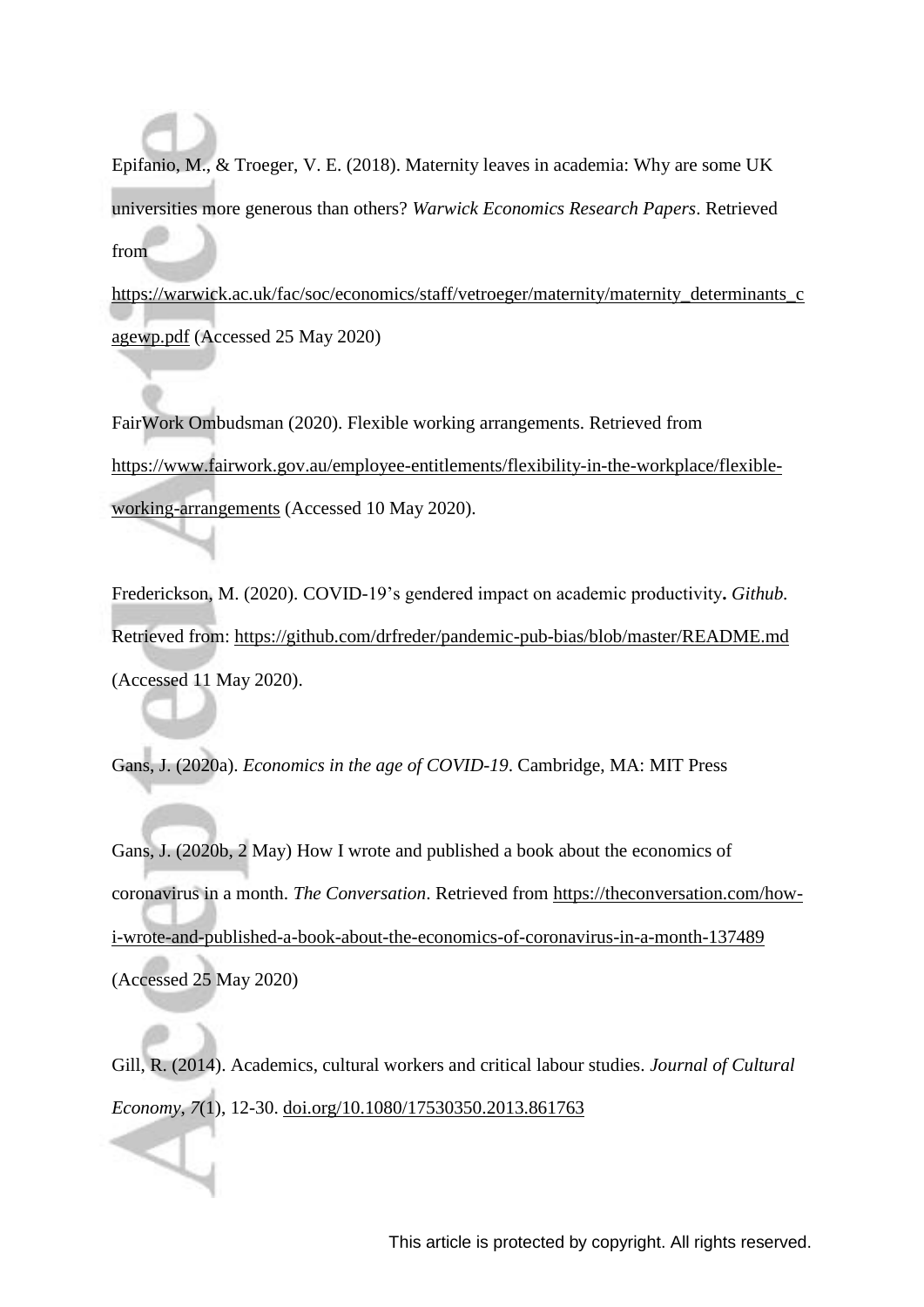Epifanio, M., & Troeger, V. E. (2018). Maternity leaves in academia: Why are some UK universities more generous than others? *Warwick Economics Research Papers*. Retrieved from

[https://warwick.ac.uk/fac/soc/economics/staff/vetroeger/maternity/maternity\\_determinants\\_c](https://warwick.ac.uk/fac/soc/economics/staff/vetroeger/maternity/maternity_determinants_cagewp.pdf) [agewp.pdf](https://warwick.ac.uk/fac/soc/economics/staff/vetroeger/maternity/maternity_determinants_cagewp.pdf) (Accessed 25 May 2020)

FairWork Ombudsman (2020). Flexible working arrangements. Retrieved from [https://www.fairwork.gov.au/employee-entitlements/flexibility-in-the-workplace/flexible](https://www.fairwork.gov.au/employee-entitlements/flexibility-in-the-workplace/flexible-working-arrangements)[working-arrangements](https://www.fairwork.gov.au/employee-entitlements/flexibility-in-the-workplace/flexible-working-arrangements) (Accessed 10 May 2020).

Frederickson, M. (2020). COVID-19's gendered impact on academic productivity**.** *Github.*  Retrieved from:<https://github.com/drfreder/pandemic-pub-bias/blob/master/README.md> (Accessed 11 May 2020).

Gans, J. (2020a). *Economics in the age of COVID-19*. Cambridge, MA: MIT Press

Gans, J. (2020b, 2 May) How I wrote and published a book about the economics of coronavirus in a month. *The Conversation*. Retrieved from [https://theconversation.com/how](https://theconversation.com/how-i-wrote-and-published-a-book-about-the-economics-of-coronavirus-in-a-month-137489)[i-wrote-and-published-a-book-about-the-economics-of-coronavirus-in-a-month-137489](https://theconversation.com/how-i-wrote-and-published-a-book-about-the-economics-of-coronavirus-in-a-month-137489) (Accessed 25 May 2020)

Gill, R. (2014). Academics, cultural workers and critical labour studies. *Journal of Cultural Economy*, *7*(1), 12-30. [doi.org/10.1080/17530350.2013.861763](https://doi.org/10.1080/17530350.2013.861763)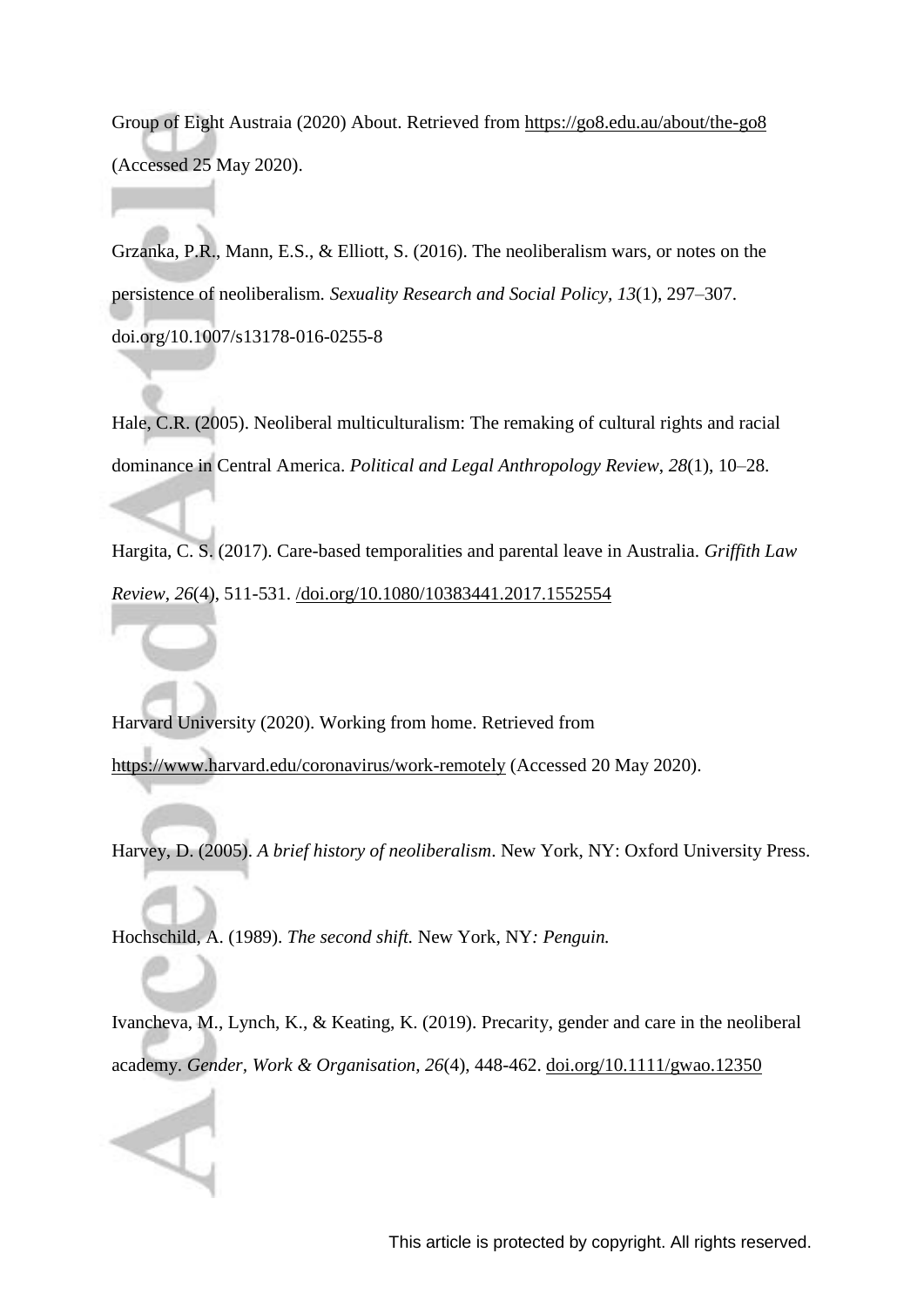Group of Eight Austraia (2020) About. Retrieved from <https://go8.edu.au/about/the-go8> (Accessed 25 May 2020).

Grzanka, P.R., Mann, E.S., & Elliott, S. (2016). The neoliberalism wars, or notes on the persistence of neoliberalism*. Sexuality Research and Social Policy, 13*(1), 297–307. doi.org/10.1007/s13178-016-0255-8

Hale, C.R. (2005). Neoliberal multiculturalism: The remaking of cultural rights and racial dominance in Central America. *Political and Legal Anthropology Review*, *28*(1), 10–28.

Hargita, C. S. (2017). Care-based temporalities and parental leave in Australia. *Griffith Law Review*, *26*(4), 511-531. [/doi.org/10.1080/10383441.2017.1552554](https://doi.org/10.1080/10383441.2017.1552554)

Harvard University (2020). Working from home. Retrieved from <https://www.harvard.edu/coronavirus/work-remotely> (Accessed 20 May 2020).

Harvey, D. (2005). *A brief history of neoliberalism*. New York, NY: Oxford University Press.

Hochschild, A. (1989). *The second shift.* New York, NY*: Penguin.* 

Ivancheva, M., Lynch, K., & Keating, K. (2019). Precarity, gender and care in the neoliberal academy. *Gender, Work & Organisation, 26*(4), 448-462. [doi.org/10.1111/gwao.12350](https://doi.org/10.1111/gwao.12350)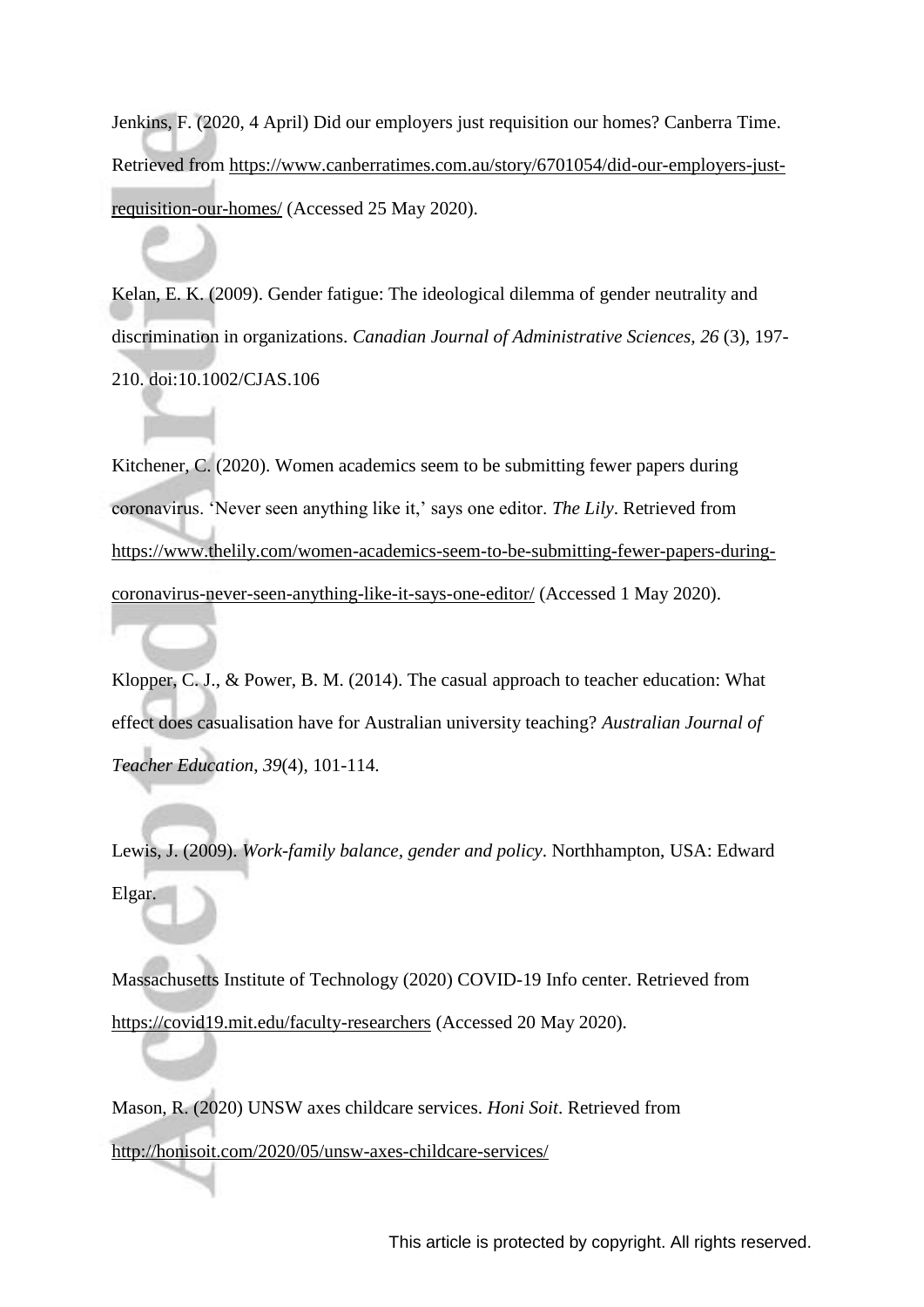Jenkins, F. (2020, 4 April) Did our employers just requisition our homes? Canberra Time. Retrieved from [https://www.canberratimes.com.au/story/6701054/did-our-employers-just](https://www.canberratimes.com.au/story/6701054/did-our-employers-just-requisition-our-homes/)[requisition-our-homes/](https://www.canberratimes.com.au/story/6701054/did-our-employers-just-requisition-our-homes/) (Accessed 25 May 2020).

Kelan, E. K. (2009). Gender fatigue: The ideological dilemma of gender neutrality and discrimination in organizations. *Canadian Journal of Administrative Sciences, 26* (3), 197- 210. doi:10.1002/CJAS.106

Kitchener, C. (2020). Women academics seem to be submitting fewer papers during coronavirus. 'Never seen anything like it,' says one editor. *The Lily*. Retrieved from [https://www.thelily.com/women-academics-seem-to-be-submitting-fewer-papers-during](https://www.thelily.com/women-academics-seem-to-be-submitting-fewer-papers-during-coronavirus-never-seen-anything-like-it-says-one-editor/)[coronavirus-never-seen-anything-like-it-says-one-editor/](https://www.thelily.com/women-academics-seem-to-be-submitting-fewer-papers-during-coronavirus-never-seen-anything-like-it-says-one-editor/) (Accessed 1 May 2020).

Klopper, C. J., & Power, B. M. (2014). The casual approach to teacher education: What effect does casualisation have for Australian university teaching? *Australian Journal of Teacher Education*, *39*(4), 101-114.

Lewis, J. (2009). *Work-family balance, gender and policy*. Northhampton, USA: Edward Elgar.

Massachusetts Institute of Technology (2020) COVID-19 Info center. Retrieved from <https://covid19.mit.edu/faculty-researchers> (Accessed 20 May 2020).

Mason, R. (2020) UNSW axes childcare services. *Honi Soit*. Retrieved from <http://honisoit.com/2020/05/unsw-axes-childcare-services/>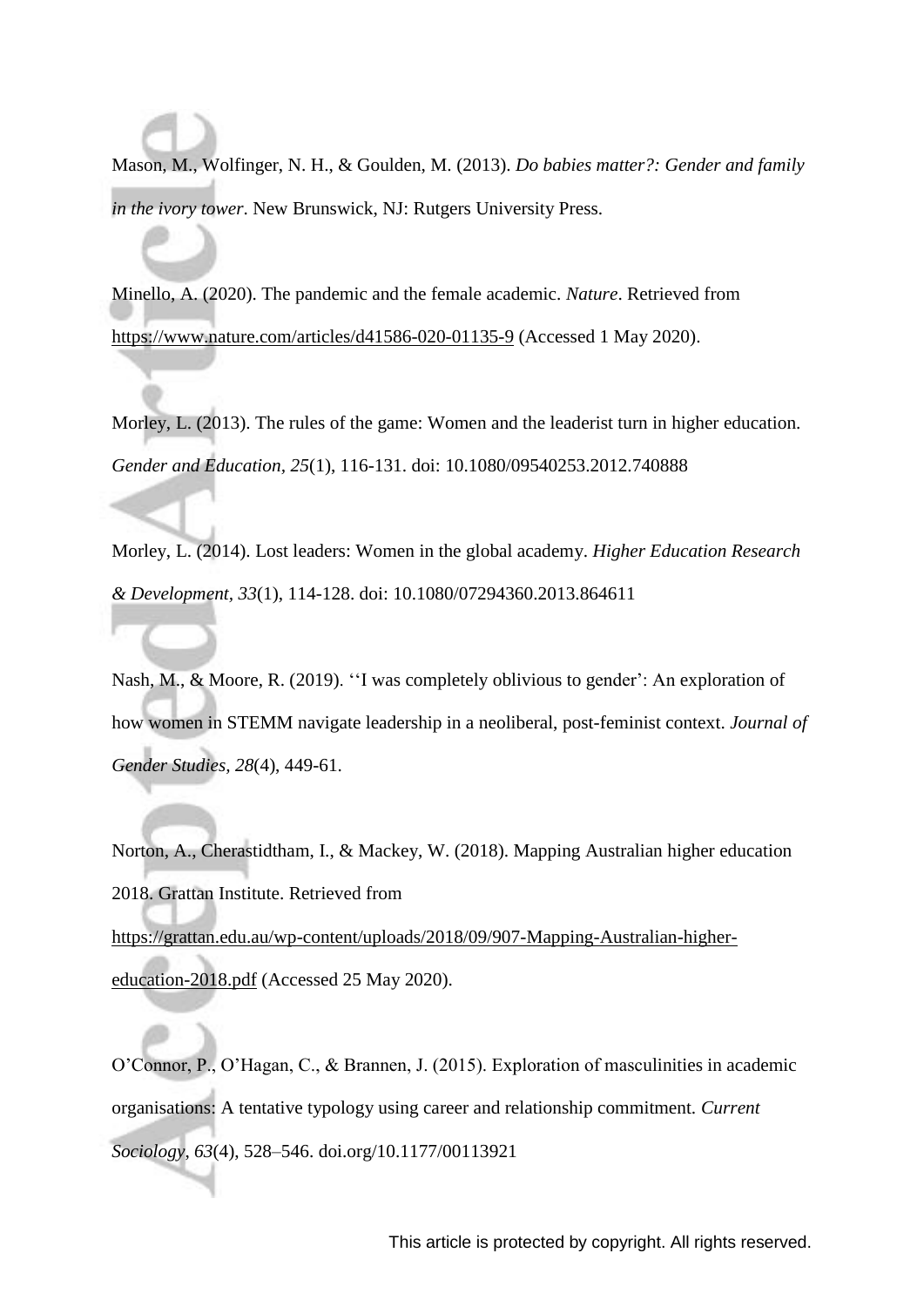Mason, M., Wolfinger, N. H., & Goulden, M. (2013). *Do babies matter?: Gender and family in the ivory tower*. New Brunswick, NJ: Rutgers University Press.

Minello, A. (2020). The pandemic and the female academic. *Nature*. Retrieved from <https://www.nature.com/articles/d41586-020-01135-9> (Accessed 1 May 2020).

Morley, L. (2013). The rules of the game: Women and the leaderist turn in higher education. *Gender and Education, 25*(1), 116-131. doi: 10.1080/09540253.2012.740888

Morley, L. (2014). Lost leaders: Women in the global academy. *Higher Education Research & Development, 33*(1), 114-128. doi: 10.1080/07294360.2013.864611

Nash, M., & Moore, R. (2019). ''I was completely oblivious to gender': An exploration of how women in STEMM navigate leadership in a neoliberal, post-feminist context. *Journal of Gender Studies, 28*(4), 449-61.

Norton, A., Cherastidtham, I., & Mackey, W. (2018). Mapping Australian higher education 2018. Grattan Institute. Retrieved from [https://grattan.edu.au/wp-content/uploads/2018/09/907-Mapping-Australian-higher](https://grattan.edu.au/wp-content/uploads/2018/09/907-Mapping-Australian-higher-education-2018.pdf)[education-2018.pdf](https://grattan.edu.au/wp-content/uploads/2018/09/907-Mapping-Australian-higher-education-2018.pdf) (Accessed 25 May 2020).

O'Connor, P., O'Hagan, C., & Brannen, J. (2015). Exploration of masculinities in academic organisations: A tentative typology using career and relationship commitment. *Current Sociology*, *63*(4), 528–546. doi.org/10.1177/00113921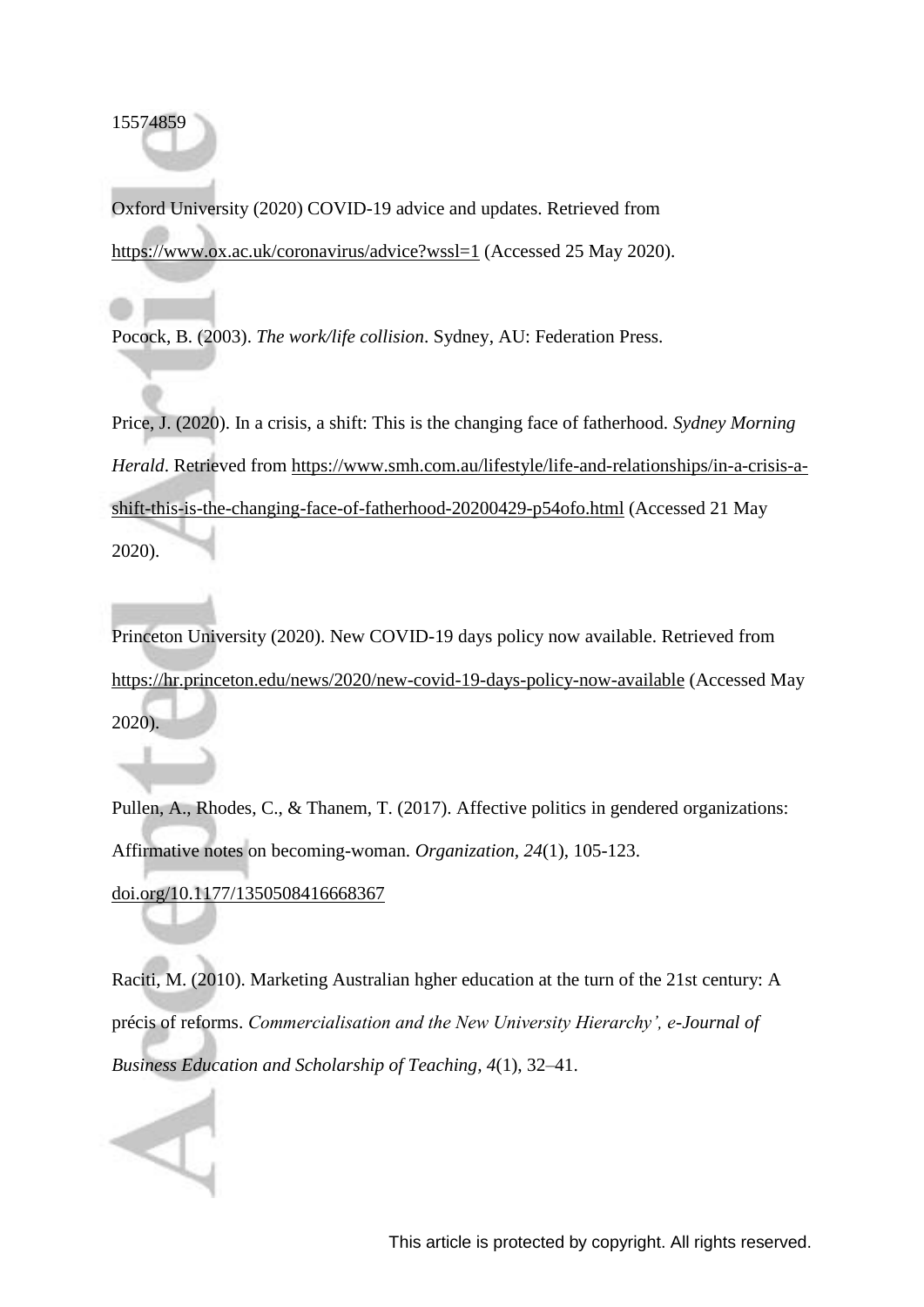#### 15574859

Oxford University (2020) COVID-19 advice and updates. Retrieved from <https://www.ox.ac.uk/coronavirus/advice?wssl=1> (Accessed 25 May 2020).

Pocock, B. (2003). *The work/life collision*. Sydney, AU: Federation Press.

Price, J. (2020). In a crisis, a shift: This is the changing face of fatherhood. *Sydney Morning Herald*. Retrieved from [https://www.smh.com.au/lifestyle/life-and-relationships/in-a-crisis-a](https://www.smh.com.au/lifestyle/life-and-relationships/in-a-crisis-a-shift-this-is-the-changing-face-of-fatherhood-20200429-p54ofo.html)[shift-this-is-the-changing-face-of-fatherhood-20200429-p54ofo.html](https://www.smh.com.au/lifestyle/life-and-relationships/in-a-crisis-a-shift-this-is-the-changing-face-of-fatherhood-20200429-p54ofo.html) (Accessed 21 May 2020).

Princeton University (2020). New COVID-19 days policy now available. Retrieved from <https://hr.princeton.edu/news/2020/new-covid-19-days-policy-now-available> (Accessed May 2020).

Pullen, A., Rhodes, C., & Thanem, T. (2017). Affective politics in gendered organizations: Affirmative notes on becoming-woman. *Organization, 24*(1), 105-123.

[doi.org/10.1177/1350508416668367](https://doi.org/10.1177%2F1350508416668367)

Raciti, M. (2010). Marketing Australian hgher education at the turn of the 21st century: A précis of reforms. *Commercialisation and the New University Hierarchy', e-Journal of Business Education and Scholarship of Teaching, 4*(1), 32–41.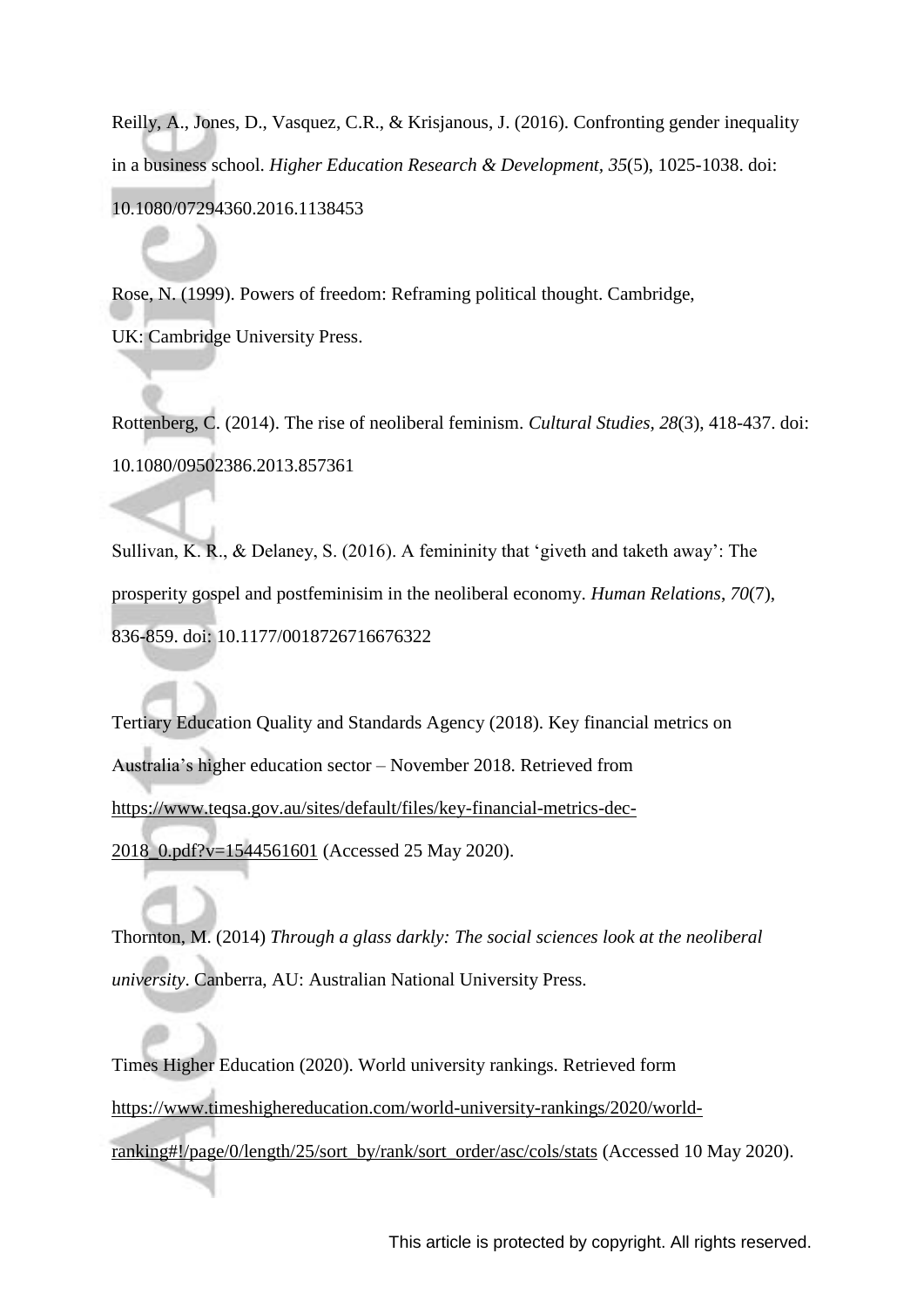Reilly, A., Jones, D., Vasquez, C.R., & Krisjanous, J. (2016). Confronting gender inequality in a business school. *Higher Education Research & Development, 35*(5), 1025-1038. doi: 10.1080/07294360.2016.1138453

Rose, N. (1999). Powers of freedom: Reframing political thought. Cambridge, UK: Cambridge University Press.

Rottenberg, C. (2014). The rise of neoliberal feminism. *Cultural Studies, 28*(3), 418-437. doi: 10.1080/09502386.2013.857361

Sullivan, K. R., & Delaney, S. (2016). A femininity that 'giveth and taketh away': The prosperity gospel and postfeminisim in the neoliberal economy. *Human Relations*, *70*(7), 836-859. doi: 10.1177/0018726716676322

Tertiary Education Quality and Standards Agency (2018). Key financial metrics on Australia's higher education sector – November 2018. Retrieved from [https://www.teqsa.gov.au/sites/default/files/key-financial-metrics-dec-](https://www.teqsa.gov.au/sites/default/files/key-financial-metrics-dec-2018_0.pdf?v=1544561601)[2018\\_0.pdf?v=1544561601](https://www.teqsa.gov.au/sites/default/files/key-financial-metrics-dec-2018_0.pdf?v=1544561601) (Accessed 25 May 2020).

Thornton, M. (2014) *Through a glass darkly: The social sciences look at the neoliberal university*. Canberra, AU: Australian National University Press.

Times Higher Education (2020). World university rankings. Retrieved form [https://www.timeshighereducation.com/world-university-rankings/2020/world](https://www.timeshighereducation.com/world-university-rankings/2020/world-ranking#!/page/0/length/25/sort_by/rank/sort_order/asc/cols/stats)[ranking#!/page/0/length/25/sort\\_by/rank/sort\\_order/asc/cols/stats](https://www.timeshighereducation.com/world-university-rankings/2020/world-ranking#!/page/0/length/25/sort_by/rank/sort_order/asc/cols/stats) (Accessed 10 May 2020).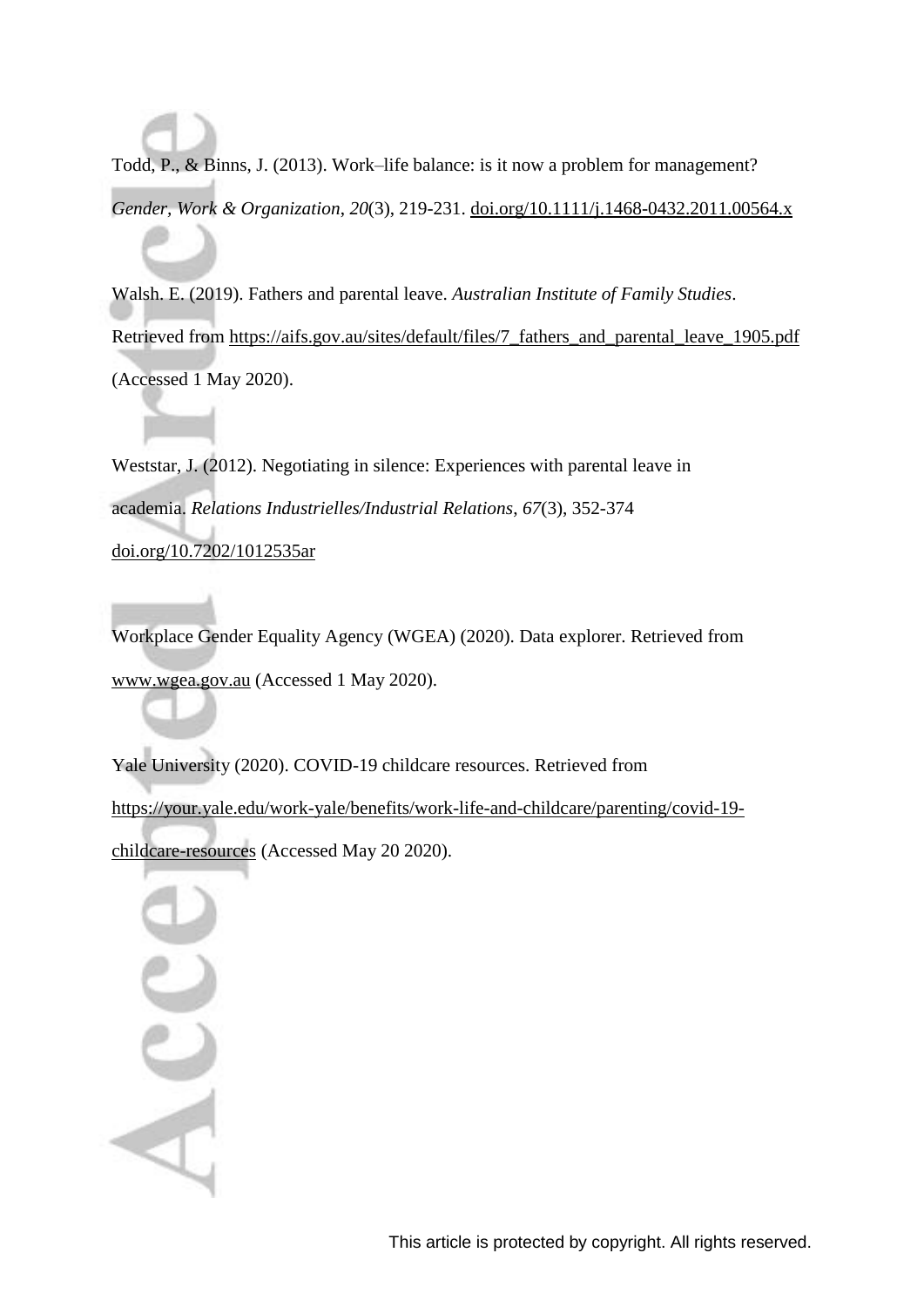Todd, P., & Binns, J. (2013). Work–life balance: is it now a problem for management? *Gender, Work & Organization*, *20*(3), 219-231. [doi.org/10.1111/j.1468-0432.2011.00564.x](https://doi.org/10.1111/j.1468-0432.2011.00564.x)

Walsh. E. (2019). Fathers and parental leave. *Australian Institute of Family Studies*. Retrieved from [https://aifs.gov.au/sites/default/files/7\\_fathers\\_and\\_parental\\_leave\\_1905.pdf](https://aifs.gov.au/sites/default/files/7_fathers_and_parental_leave_1905.pdf) (Accessed 1 May 2020).

Weststar, J. (2012). Negotiating in silence: Experiences with parental leave in academia. *Relations Industrielles/Industrial Relations*, *67*(3), 352-374 [doi.org/10.7202/1012535ar](https://doi.org/10.7202/1012535ar)

Workplace Gender Equality Agency (WGEA) (2020). Data explorer. Retrieved from [www.wgea.gov.au](http://www.wgea.gov.au/) (Accessed 1 May 2020).

Yale University (2020). COVID-19 childcare resources. Retrieved from [https://your.yale.edu/work-yale/benefits/work-life-and-childcare/parenting/covid-19](https://your.yale.edu/work-yale/benefits/work-life-and-childcare/parenting/covid-19-childcare-resources) [childcare-resources](https://your.yale.edu/work-yale/benefits/work-life-and-childcare/parenting/covid-19-childcare-resources) (Accessed May 20 2020).

This article is protected by copyright. All rights reserved.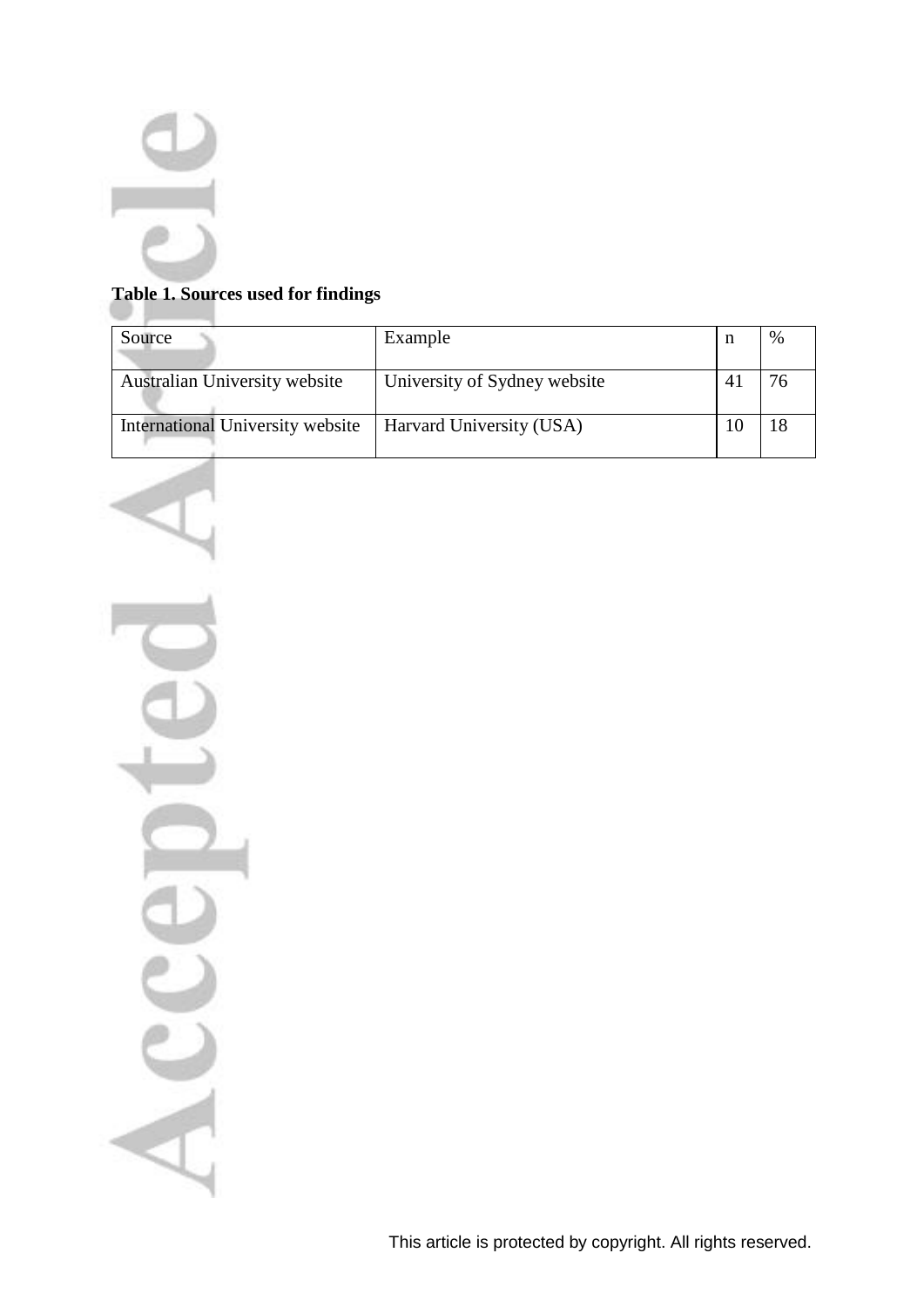

# **Table 1. Sources used for findings**

| Source                           | Example                      |   | %              |
|----------------------------------|------------------------------|---|----------------|
| Australian University website    | University of Sydney website |   | 7 <sub>f</sub> |
| International University website | Harvard University (USA)     | Ю |                |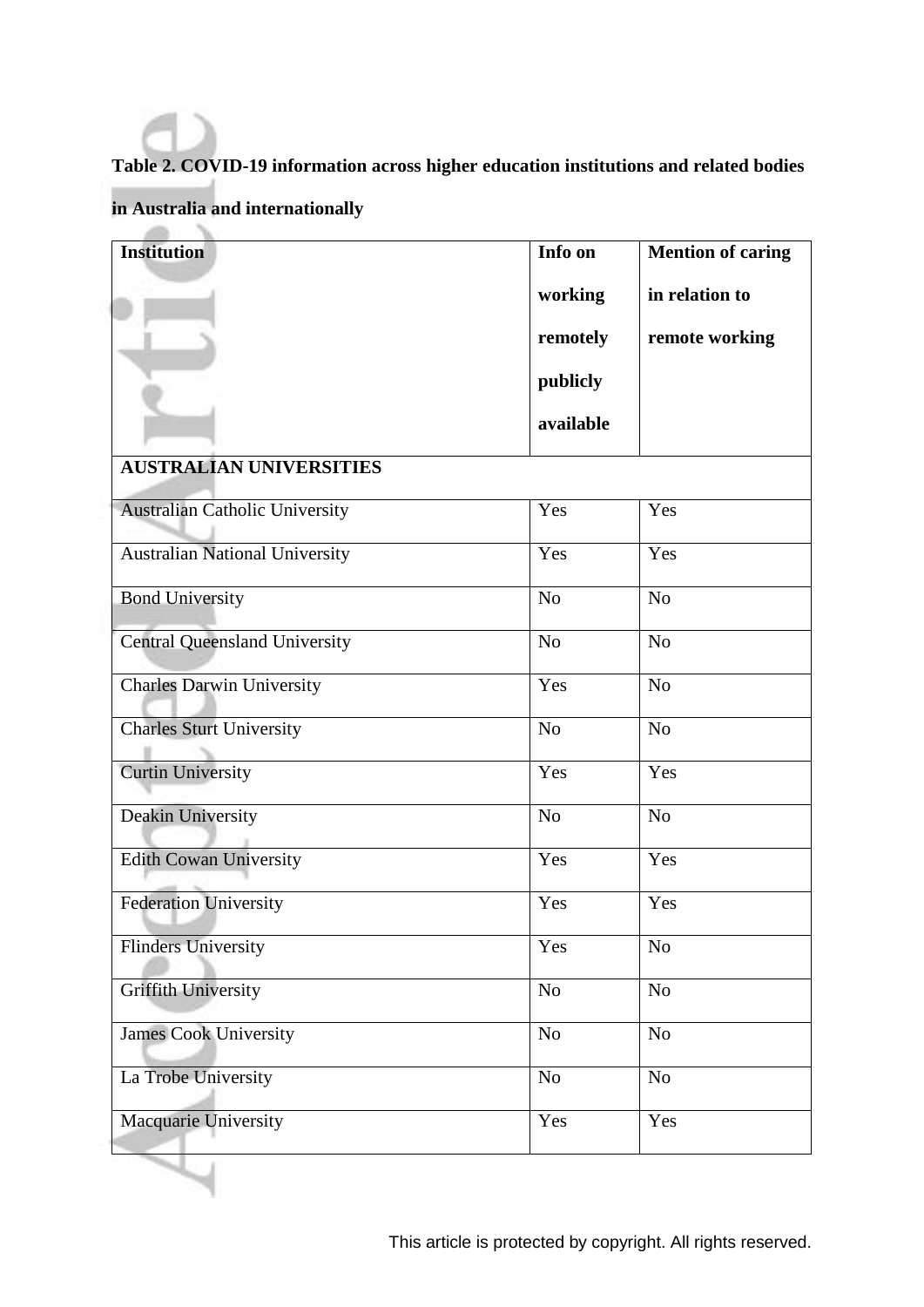-

# **Table 2. COVID-19 information across higher education institutions and related bodies**

| <b>Institution</b>                    | Info on        | <b>Mention of caring</b> |
|---------------------------------------|----------------|--------------------------|
|                                       | working        | in relation to           |
|                                       | remotely       | remote working           |
|                                       | publicly       |                          |
|                                       | available      |                          |
| <b>AUSTRALIAN UNIVERSITIES</b>        |                |                          |
| <b>Australian Catholic University</b> | Yes            | Yes                      |
| <b>Australian National University</b> | Yes            | Yes                      |
| <b>Bond University</b>                | N <sub>o</sub> | N <sub>o</sub>           |
| <b>Central Queensland University</b>  | N <sub>o</sub> | N <sub>o</sub>           |
| <b>Charles Darwin University</b>      | Yes            | N <sub>o</sub>           |
| <b>Charles Sturt University</b>       | N <sub>o</sub> | N <sub>o</sub>           |
| <b>Curtin University</b>              | Yes            | Yes                      |
| Deakin University                     | N <sub>o</sub> | N <sub>o</sub>           |
| <b>Edith Cowan University</b>         | Yes            | Yes                      |
| <b>Federation University</b>          | Yes            | Yes                      |
| <b>Flinders University</b>            | Yes            | N <sub>o</sub>           |
| <b>Griffith University</b>            | N <sub>o</sub> | N <sub>o</sub>           |
| <b>James Cook University</b>          | No             | N <sub>o</sub>           |
| La Trobe University                   | $\rm No$       | N <sub>o</sub>           |
| Macquarie University                  | Yes            | Yes                      |

# **in Australia and internationally**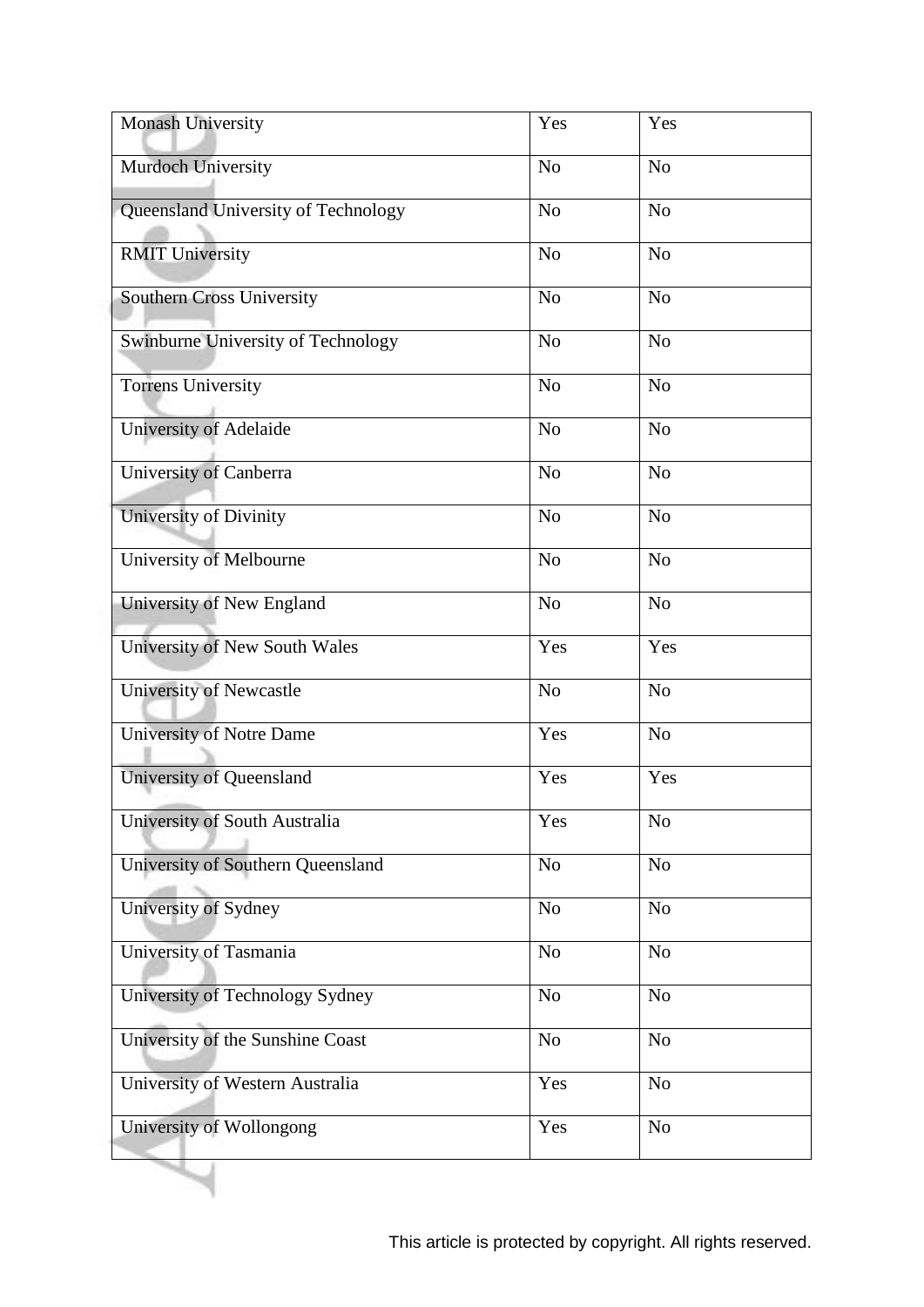| <b>Monash University</b>            | Yes            | Yes            |
|-------------------------------------|----------------|----------------|
| Murdoch University                  | N <sub>o</sub> | N <sub>o</sub> |
| Queensland University of Technology | N <sub>o</sub> | N <sub>o</sub> |
| <b>RMIT University</b>              | N <sub>o</sub> | N <sub>o</sub> |
| <b>Southern Cross University</b>    | No             | N <sub>o</sub> |
| Swinburne University of Technology  | N <sub>o</sub> | N <sub>o</sub> |
| <b>Torrens University</b>           | N <sub>o</sub> | N <sub>o</sub> |
| University of Adelaide              | N <sub>o</sub> | N <sub>o</sub> |
| University of Canberra              | N <sub>o</sub> | N <sub>o</sub> |
| University of Divinity              | N <sub>o</sub> | N <sub>0</sub> |
| University of Melbourne             | N <sub>o</sub> | N <sub>o</sub> |
| University of New England           | N <sub>o</sub> | N <sub>o</sub> |
| University of New South Wales       | Yes            | Yes            |
| University of Newcastle             | N <sub>o</sub> | N <sub>o</sub> |
| University of Notre Dame            | Yes            | N <sub>o</sub> |
| University of Queensland            | Yes            | Yes            |
| University of South Australia       | Yes            | N <sub>o</sub> |
| University of Southern Queensland   | N <sub>o</sub> | N <sub>o</sub> |
| University of Sydney                | N <sub>0</sub> | No             |
| University of Tasmania              | N <sub>o</sub> | No             |
| University of Technology Sydney     | N <sub>o</sub> | No             |
| University of the Sunshine Coast    | N <sub>o</sub> | No             |
| University of Western Australia     | Yes            | No             |
| <b>University of Wollongong</b>     | Yes            | No             |
|                                     |                |                |